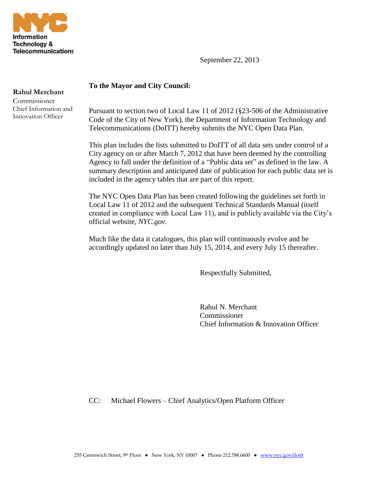

September 22, 2013

## **To the Mayor and City Council:**

**Rahul Merchant**

Commissioner Chief Information and Innovation Officer

Pursuant to section two of Local Law 11 of 2012 (§23-506 of the Administrative Code of the City of New York), the Department of Information Technology and Telecommunications (DoITT) hereby submits the NYC Open Data Plan.

This plan includes the lists submitted to DoITT of all data sets under control of a City agency on or after March 7, 2012 that have been deemed by the controlling Agency to fall under the definition of a "Public data set" as defined in the law. A summary description and anticipated date of publication for each public data set is included in the agency tables that are part of this report.

The NYC Open Data Plan has been created following the guidelines set forth in Local Law 11 of 2012 and the subsequent Technical Standards Manual (itself created in compliance with Local Law 11), and is publicly available via the City's official website, *NYC.gov*.

Much like the data it catalogues, this plan will continuously evolve and be accordingly updated no later than July 15, 2014, and every July 15 thereafter.

Respectfully Submitted,

Rahul N. Merchant Commissioner Chief Information & Innovation Officer

CC: Michael Flowers – Chief Analytics/Open Platform Officer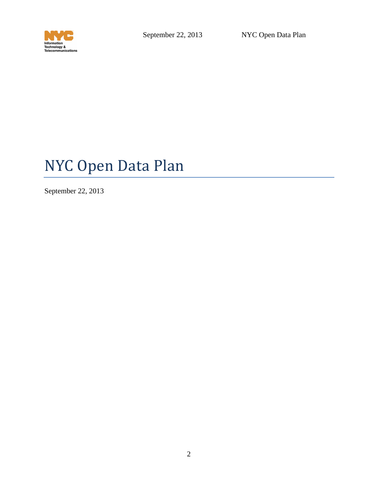

# NYC Open Data Plan

September 22, 2013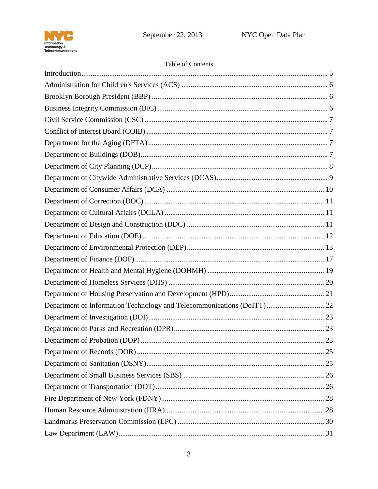

## Table of Contents

| Department of Information Technology and Telecommunications (DoITT) 22 |  |
|------------------------------------------------------------------------|--|
|                                                                        |  |
|                                                                        |  |
|                                                                        |  |
|                                                                        |  |
|                                                                        |  |
|                                                                        |  |
|                                                                        |  |
|                                                                        |  |
|                                                                        |  |
|                                                                        |  |
|                                                                        |  |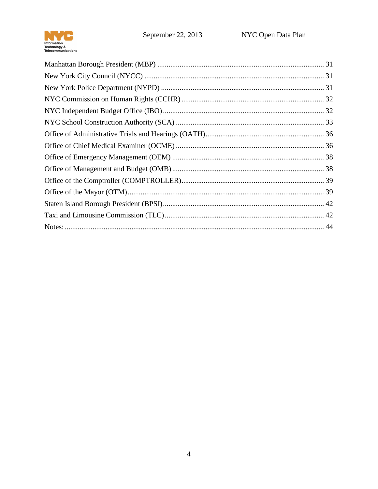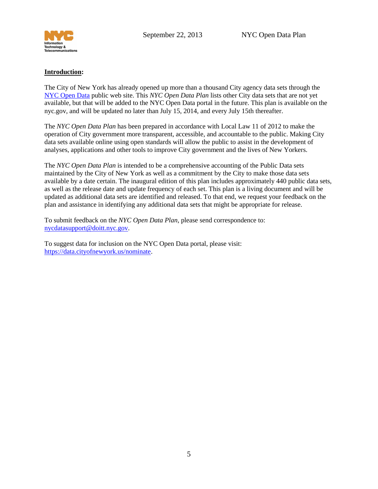

#### <span id="page-4-0"></span>**Introduction:**

The City of New York has already opened up more than a thousand City agency data sets through the [NYC Open Data](http://nyc.gov/data) public web site. This *NYC Open Data Plan* lists other City data sets that are not yet available, but that will be added to the NYC Open Data portal in the future. This plan is available on the nyc.gov, and will be updated no later than July 15, 2014, and every July 15th thereafter.

The *NYC Open Data Plan* has been prepared in accordance with Local Law 11 of 2012 to make the operation of City government more transparent, accessible, and accountable to the public. Making City data sets available online using open standards will allow the public to assist in the development of analyses, applications and other tools to improve City government and the lives of New Yorkers.

The *NYC Open Data Plan* is intended to be a comprehensive accounting of the Public Data sets maintained by the City of New York as well as a commitment by the City to make those data sets available by a date certain. The inaugural edition of this plan includes approximately 440 public data sets, as well as the release date and update frequency of each set. This plan is a living document and will be updated as additional data sets are identified and released. To that end, we request your feedback on the plan and assistance in identifying any additional data sets that might be appropriate for release.

To submit feedback on the *NYC Open Data Plan*, please send correspondence to: [nycdatasupport@doitt.nyc.gov.](mailto:nycdatasupport@doitt.nyc.gov)

To suggest data for inclusion on the NYC Open Data portal, please visit: [https://data.cityofnewyork.us/nominate.](https://data.cityofnewyork.us/nominate)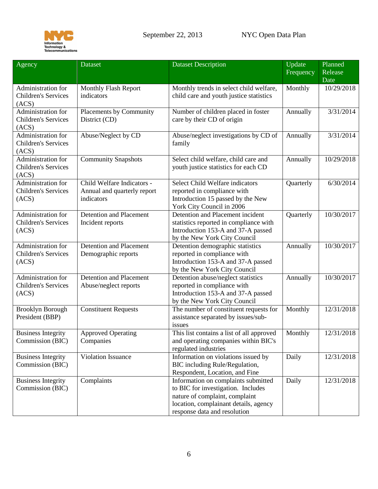

<span id="page-5-2"></span><span id="page-5-1"></span><span id="page-5-0"></span>

| Agency                                                    | <b>Dataset</b>                                                          | <b>Dataset Description</b>                                                                                                                                                           | Update<br>Frequency | Planned<br>Release<br>Date |
|-----------------------------------------------------------|-------------------------------------------------------------------------|--------------------------------------------------------------------------------------------------------------------------------------------------------------------------------------|---------------------|----------------------------|
| Administration for<br><b>Children's Services</b><br>(ACS) | Monthly Flash Report<br>indicators                                      | Monthly trends in select child welfare,<br>child care and youth justice statistics                                                                                                   | Monthly             | 10/29/2018                 |
| Administration for<br><b>Children's Services</b><br>(ACS) | Placements by Community<br>District (CD)                                | Number of children placed in foster<br>care by their CD of origin                                                                                                                    | Annually            | 3/31/2014                  |
| Administration for<br><b>Children's Services</b><br>(ACS) | Abuse/Neglect by CD                                                     | Abuse/neglect investigations by CD of<br>family                                                                                                                                      | Annually            | 3/31/2014                  |
| Administration for<br><b>Children's Services</b><br>(ACS) | <b>Community Snapshots</b>                                              | Select child welfare, child care and<br>youth justice statistics for each CD                                                                                                         | Annually            | 10/29/2018                 |
| Administration for<br><b>Children's Services</b><br>(ACS) | Child Welfare Indicators -<br>Annual and quarterly report<br>indicators | <b>Select Child Welfare indicators</b><br>reported in compliance with<br>Introduction 15 passed by the New<br>York City Council in 2006                                              | Quarterly           | 6/30/2014                  |
| Administration for<br><b>Children's Services</b><br>(ACS) | <b>Detention and Placement</b><br>Incident reports                      | Detention and Placement incident<br>statistics reported in compliance with<br>Introduction 153-A and 37-A passed<br>by the New York City Council                                     | Quarterly           | 10/30/2017                 |
| Administration for<br><b>Children's Services</b><br>(ACS) | <b>Detention and Placement</b><br>Demographic reports                   | Detention demographic statistics<br>reported in compliance with<br>Introduction 153-A and 37-A passed<br>by the New York City Council                                                | Annually            | 10/30/2017                 |
| Administration for<br><b>Children's Services</b><br>(ACS) | <b>Detention and Placement</b><br>Abuse/neglect reports                 | Detention abuse/neglect statistics<br>reported in compliance with<br>Introduction 153-A and 37-A passed<br>by the New York City Council                                              | Annually            | 10/30/2017                 |
| <b>Brooklyn Borough</b><br>President (BBP)                | <b>Constituent Requests</b>                                             | The number of constituent requests for<br>assistance separated by issues/sub-<br>issues                                                                                              | Monthly             | 12/31/2018                 |
| <b>Business Integrity</b><br>Commission (BIC)             | <b>Approved Operating</b><br>Companies                                  | This list contains a list of all approved<br>and operating companies within BIC's<br>regulated industries                                                                            | Monthly             | 12/31/2018                 |
| <b>Business Integrity</b><br>Commission (BIC)             | Violation Issuance                                                      | Information on violations issued by<br>BIC including Rule/Regulation,<br>Respondent, Location, and Fine                                                                              | Daily               | 12/31/2018                 |
| <b>Business Integrity</b><br>Commission (BIC)             | Complaints                                                              | Information on complaints submitted<br>to BIC for investigation. Includes<br>nature of complaint, complaint<br>location, complainant details, agency<br>response data and resolution | Daily               | 12/31/2018                 |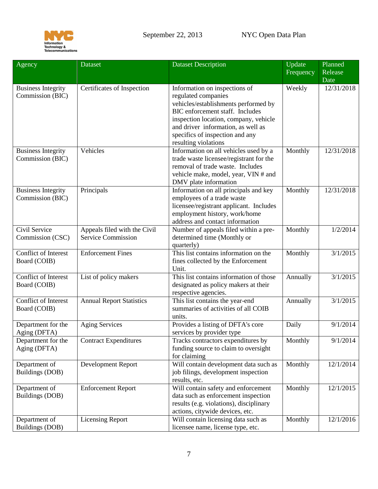

<span id="page-6-3"></span><span id="page-6-2"></span><span id="page-6-1"></span><span id="page-6-0"></span>

| Agency                                        | <b>Dataset</b>                                            | <b>Dataset Description</b>                                                                                                                                                                                                                                                | Update    | Planned            |
|-----------------------------------------------|-----------------------------------------------------------|---------------------------------------------------------------------------------------------------------------------------------------------------------------------------------------------------------------------------------------------------------------------------|-----------|--------------------|
|                                               |                                                           |                                                                                                                                                                                                                                                                           | Frequency | Release<br>Date    |
| <b>Business Integrity</b><br>Commission (BIC) | Certificates of Inspection                                | Information on inspections of<br>regulated companies<br>vehicles/establishments performed by<br>BIC enforcement staff. Includes<br>inspection location, company, vehicle<br>and driver information, as well as<br>specifics of inspection and any<br>resulting violations | Weekly    | 12/31/2018         |
| <b>Business Integrity</b><br>Commission (BIC) | Vehicles                                                  | Information on all vehicles used by a<br>trade waste licensee/registrant for the<br>removal of trade waste. Includes<br>vehicle make, model, year, VIN # and<br>DMV plate information                                                                                     | Monthly   | 12/31/2018         |
| <b>Business Integrity</b><br>Commission (BIC) | Principals                                                | Information on all principals and key<br>employees of a trade waste<br>licensee/registrant applicant. Includes<br>employment history, work/home<br>address and contact information                                                                                        | Monthly   | 12/31/2018         |
| Civil Service<br>Commission (CSC)             | Appeals filed with the Civil<br><b>Service Commission</b> | Number of appeals filed within a pre-<br>determined time (Monthly or<br>quarterly)                                                                                                                                                                                        | Monthly   | 1/2/2014           |
| Conflict of Interest<br>Board (COIB)          | <b>Enforcement Fines</b>                                  | This list contains information on the<br>fines collected by the Enforcement<br>Unit.                                                                                                                                                                                      | Monthly   | 3/1/2015           |
| Conflict of Interest<br>Board (COIB)          | List of policy makers                                     | This list contains information of those<br>designated as policy makers at their<br>respective agencies.                                                                                                                                                                   | Annually  | 3/1/2015           |
| Conflict of Interest<br>Board (COIB)          | <b>Annual Report Statistics</b>                           | This list contains the year-end<br>summaries of activities of all COIB<br>units.                                                                                                                                                                                          | Annually  | $\frac{3}{1/2015}$ |
| Department for the<br>Aging (DFTA)            | <b>Aging Services</b>                                     | Provides a listing of DFTA's core<br>services by provider type                                                                                                                                                                                                            | Daily     | 9/1/2014           |
| Department for the<br>Aging (DFTA)            | <b>Contract Expenditures</b>                              | Tracks contractors expenditures by<br>funding source to claim to oversight<br>for claiming                                                                                                                                                                                | Monthly   | 9/1/2014           |
| Department of<br>Buildings (DOB)              | Development Report                                        | Will contain development data such as<br>job filings, development inspection<br>results, etc.                                                                                                                                                                             | Monthly   | 12/1/2014          |
| Department of<br>Buildings (DOB)              | <b>Enforcement Report</b>                                 | Will contain safety and enforcement<br>data such as enforcement inspection<br>results (e.g. violations), disciplinary<br>actions, citywide devices, etc.                                                                                                                  | Monthly   | 12/1/2015          |
| Department of<br>Buildings (DOB)              | <b>Licensing Report</b>                                   | Will contain licensing data such as<br>licensee name, license type, etc.                                                                                                                                                                                                  | Monthly   | 12/1/2016          |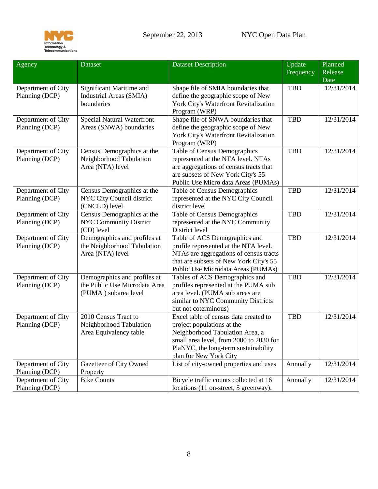

<span id="page-7-0"></span>

| Agency                               | <b>Dataset</b>                                                                        | <b>Dataset Description</b>                                                                                                                                                                                          | Update<br>Frequency | Planned<br>Release<br>Date |
|--------------------------------------|---------------------------------------------------------------------------------------|---------------------------------------------------------------------------------------------------------------------------------------------------------------------------------------------------------------------|---------------------|----------------------------|
| Department of City<br>Planning (DCP) | Significant Maritime and<br>Industrial Areas (SMIA)<br>boundaries                     | Shape file of SMIA boundaries that<br>define the geographic scope of New<br>York City's Waterfront Revitalization<br>Program (WRP)                                                                                  | <b>TBD</b>          | 12/31/2014                 |
| Department of City<br>Planning (DCP) | <b>Special Natural Waterfront</b><br>Areas (SNWA) boundaries                          | Shape file of SNWA boundaries that<br>define the geographic scope of New<br>York City's Waterfront Revitalization<br>Program (WRP)                                                                                  | <b>TBD</b>          | 12/31/2014                 |
| Department of City<br>Planning (DCP) | Census Demographics at the<br>Neighborhood Tabulation<br>Area (NTA) level             | Table of Census Demographics<br>represented at the NTA level. NTAs<br>are aggregations of census tracts that<br>are subsets of New York City's 55<br>Public Use Micro data Areas (PUMAs)                            | <b>TBD</b>          | 12/31/2014                 |
| Department of City<br>Planning (DCP) | Census Demographics at the<br>NYC City Council district<br>(CNCLD) level              | Table of Census Demographics<br>represented at the NYC City Council<br>district level                                                                                                                               | <b>TBD</b>          | 12/31/2014                 |
| Department of City<br>Planning (DCP) | Census Demographics at the<br><b>NYC Community District</b><br>(CD) level             | Table of Census Demographics<br>represented at the NYC Community<br>District level                                                                                                                                  | <b>TBD</b>          | 12/31/2014                 |
| Department of City<br>Planning (DCP) | Demographics and profiles at<br>the Neighborhood Tabulation<br>Area (NTA) level       | Table of ACS Demographics and<br>profile represented at the NTA level.<br>NTAs are aggregations of census tracts<br>that are subsets of New York City's 55<br>Public Use Microdata Areas (PUMAs)                    | <b>TBD</b>          | 12/31/2014                 |
| Department of City<br>Planning (DCP) | Demographics and profiles at<br>the Public Use Microdata Area<br>(PUMA) subarea level | Tables of ACS Demographics and<br>profiles represented at the PUMA sub<br>area level. (PUMA sub areas are<br>similar to NYC Community Districts<br>but not coterminous)                                             | <b>TBD</b>          | 12/31/2014                 |
| Department of City<br>Planning (DCP) | 2010 Census Tract to<br>Neighborhood Tabulation<br>Area Equivalency table             | Excel table of census data created to<br>project populations at the<br>Neighborhood Tabulation Area, a<br>small area level, from 2000 to 2030 for<br>PlaNYC, the long-term sustainability<br>plan for New York City | <b>TBD</b>          | 12/31/2014                 |
| Department of City<br>Planning (DCP) | Gazetteer of City Owned<br>Property                                                   | List of city-owned properties and uses                                                                                                                                                                              | Annually            | 12/31/2014                 |
| Department of City<br>Planning (DCP) | <b>Bike Counts</b>                                                                    | Bicycle traffic counts collected at 16<br>locations (11 on-street, 5 greenway).                                                                                                                                     | Annually            | 12/31/2014                 |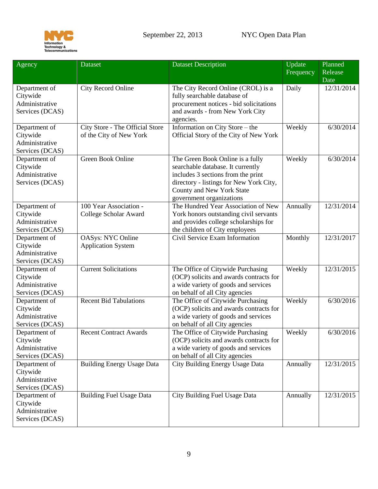

<span id="page-8-0"></span>

| Agency                                                         | Dataset                                                    | <b>Dataset Description</b>                                                                                                                                                                                      | Update<br>Frequency | Planned<br>Release<br>Date |
|----------------------------------------------------------------|------------------------------------------------------------|-----------------------------------------------------------------------------------------------------------------------------------------------------------------------------------------------------------------|---------------------|----------------------------|
| Department of<br>Citywide<br>Administrative<br>Services (DCAS) | City Record Online                                         | The City Record Online (CROL) is a<br>fully searchable database of<br>procurement notices - bid solicitations<br>and awards - from New York City<br>agencies.                                                   | Daily               | 12/31/2014                 |
| Department of<br>Citywide<br>Administrative<br>Services (DCAS) | City Store - The Official Store<br>of the City of New York | Information on City Store - the<br>Official Story of the City of New York                                                                                                                                       | Weekly              | 6/30/2014                  |
| Department of<br>Citywide<br>Administrative<br>Services (DCAS) | Green Book Online                                          | The Green Book Online is a fully<br>searchable database. It currently<br>includes 3 sections from the print<br>directory - listings for New York City,<br>County and New York State<br>government organizations | Weekly              | 6/30/2014                  |
| Department of<br>Citywide<br>Administrative<br>Services (DCAS) | 100 Year Association -<br>College Scholar Award            | The Hundred Year Association of New<br>York honors outstanding civil servants<br>and provides college scholarships for<br>the children of City employees                                                        | Annually            | 12/31/2014                 |
| Department of<br>Citywide<br>Administrative<br>Services (DCAS) | <b>OASys: NYC Online</b><br><b>Application System</b>      | Civil Service Exam Information                                                                                                                                                                                  | Monthly             | 12/31/2017                 |
| Department of<br>Citywide<br>Administrative<br>Services (DCAS) | <b>Current Solicitations</b>                               | The Office of Citywide Purchasing<br>(OCP) solicits and awards contracts for<br>a wide variety of goods and services<br>on behalf of all City agencies                                                          | Weekly              | 12/31/2015                 |
| Department of<br>Citywide<br>Administrative<br>Services (DCAS) | <b>Recent Bid Tabulations</b>                              | The Office of Citywide Purchasing<br>(OCP) solicits and awards contracts for<br>a wide variety of goods and services<br>on behalf of all City agencies                                                          | Weekly              | 6/30/2016                  |
| Department of<br>Citywide<br>Administrative<br>Services (DCAS) | <b>Recent Contract Awards</b>                              | The Office of Citywide Purchasing<br>(OCP) solicits and awards contracts for<br>a wide variety of goods and services<br>on behalf of all City agencies                                                          | Weekly              | 6/30/2016                  |
| Department of<br>Citywide<br>Administrative<br>Services (DCAS) | <b>Building Energy Usage Data</b>                          | City Building Energy Usage Data                                                                                                                                                                                 | Annually            | 12/31/2015                 |
| Department of<br>Citywide<br>Administrative<br>Services (DCAS) | <b>Building Fuel Usage Data</b>                            | City Building Fuel Usage Data                                                                                                                                                                                   | Annually            | 12/31/2015                 |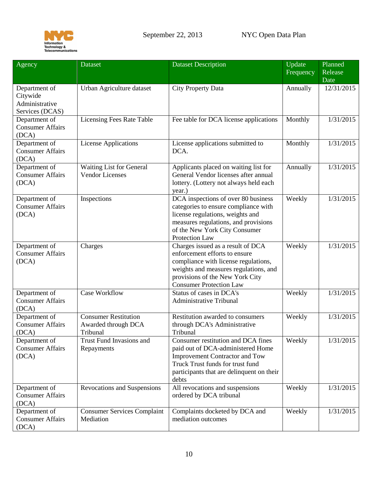

<span id="page-9-0"></span>

| Agency                                                         | <b>Dataset</b>                                                 | <b>Dataset Description</b>                                                                                                                                                                                               | Update<br>Frequency | Planned<br>Release<br>Date |
|----------------------------------------------------------------|----------------------------------------------------------------|--------------------------------------------------------------------------------------------------------------------------------------------------------------------------------------------------------------------------|---------------------|----------------------------|
| Department of<br>Citywide<br>Administrative<br>Services (DCAS) | Urban Agriculture dataset                                      | City Property Data                                                                                                                                                                                                       | Annually            | 12/31/2015                 |
| Department of<br><b>Consumer Affairs</b><br>(DCA)              | Licensing Fees Rate Table                                      | Fee table for DCA license applications                                                                                                                                                                                   | Monthly             | 1/31/2015                  |
| Department of<br><b>Consumer Affairs</b><br>(DCA)              | <b>License Applications</b>                                    | License applications submitted to<br>DCA.                                                                                                                                                                                | Monthly             | 1/31/2015                  |
| Department of<br><b>Consumer Affairs</b><br>(DCA)              | Waiting List for General<br><b>Vendor Licenses</b>             | Applicants placed on waiting list for<br>General Vendor licenses after annual<br>lottery. (Lottery not always held each<br>year.)                                                                                        | Annually            | 1/31/2015                  |
| Department of<br><b>Consumer Affairs</b><br>(DCA)              | Inspections                                                    | DCA inspections of over 80 business<br>categories to ensure compliance with<br>license regulations, weights and<br>measures regulations, and provisions<br>of the New York City Consumer<br><b>Protection Law</b>        | Weekly              | 1/31/2015                  |
| Department of<br><b>Consumer Affairs</b><br>(DCA)              | Charges                                                        | Charges issued as a result of DCA<br>enforcement efforts to ensure<br>compliance with license regulations,<br>weights and measures regulations, and<br>provisions of the New York City<br><b>Consumer Protection Law</b> | Weekly              | 1/31/2015                  |
| Department of<br><b>Consumer Affairs</b><br>(DCA)              | Case Workflow                                                  | Status of cases in DCA's<br><b>Administrative Tribunal</b>                                                                                                                                                               | Weekly              | 1/31/2015                  |
| Department of<br><b>Consumer Affairs</b><br>(DCA)              | <b>Consumer Restitution</b><br>Awarded through DCA<br>Tribunal | Restitution awarded to consumers<br>through DCA's Administrative<br>Tribunal                                                                                                                                             | Weekly              | 1/31/2015                  |
| Department of<br><b>Consumer Affairs</b><br>(DCA)              | Trust Fund Invasions and<br>Repayments                         | Consumer restitution and DCA fines<br>paid out of DCA-administered Home<br><b>Improvement Contractor and Tow</b><br>Truck Trust funds for trust fund<br>participants that are delinquent on their<br>debts               | Weekly              | 1/31/2015                  |
| Department of<br><b>Consumer Affairs</b><br>(DCA)              | Revocations and Suspensions                                    | All revocations and suspensions<br>ordered by DCA tribunal                                                                                                                                                               | Weekly              | 1/31/2015                  |
| Department of<br><b>Consumer Affairs</b><br>(DCA)              | <b>Consumer Services Complaint</b><br>Mediation                | Complaints docketed by DCA and<br>mediation outcomes                                                                                                                                                                     | Weekly              | 1/31/2015                  |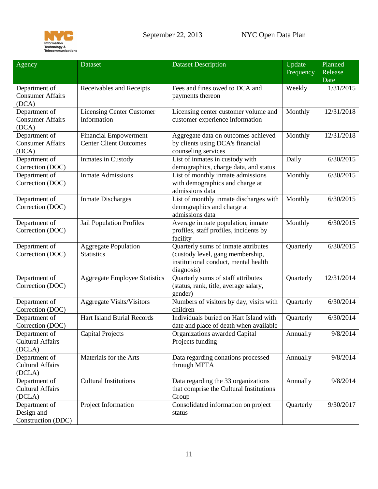

<span id="page-10-2"></span><span id="page-10-1"></span><span id="page-10-0"></span>

| Agency                                             | <b>Dataset</b>                                                | <b>Dataset Description</b>                                                                                                    | Update<br>Frequency | Planned<br>Release<br>Date |
|----------------------------------------------------|---------------------------------------------------------------|-------------------------------------------------------------------------------------------------------------------------------|---------------------|----------------------------|
| Department of<br><b>Consumer Affairs</b><br>(DCA)  | Receivables and Receipts                                      | Fees and fines owed to DCA and<br>payments thereon                                                                            | Weekly              | 1/31/2015                  |
| Department of<br><b>Consumer Affairs</b><br>(DCA)  | <b>Licensing Center Customer</b><br>Information               | Licensing center customer volume and<br>customer experience information                                                       | Monthly             | 12/31/2018                 |
| Department of<br><b>Consumer Affairs</b><br>(DCA)  | <b>Financial Empowerment</b><br><b>Center Client Outcomes</b> | Aggregate data on outcomes achieved<br>by clients using DCA's financial<br>counseling services                                | Monthly             | 12/31/2018                 |
| Department of<br>Correction (DOC)                  | Inmates in Custody                                            | List of inmates in custody with<br>demographics, charge data, and status                                                      | Daily               | 6/30/2015                  |
| Department of<br>Correction (DOC)                  | <b>Inmate Admissions</b>                                      | List of monthly inmate admissions<br>with demographics and charge at<br>admissions data                                       | Monthly             | 6/30/2015                  |
| Department of<br>Correction (DOC)                  | <b>Inmate Discharges</b>                                      | List of monthly inmate discharges with<br>demographics and charge at<br>admissions data                                       | Monthly             | 6/30/2015                  |
| Department of<br>Correction (DOC)                  | Jail Population Profiles                                      | Average inmate population, inmate<br>profiles, staff profiles, incidents by<br>facility                                       | Monthly             | 6/30/2015                  |
| Department of<br>Correction (DOC)                  | <b>Aggregate Population</b><br><b>Statistics</b>              | Quarterly sums of inmate attributes<br>(custody level, gang membership,<br>institutional conduct, mental health<br>diagnosis) | Quarterly           | 6/30/2015                  |
| Department of<br>Correction (DOC)                  | <b>Aggregate Employee Statistics</b>                          | Quarterly sums of staff attributes<br>(status, rank, title, average salary,<br>gender)                                        | Quarterly           | 12/31/2014                 |
| Department of<br>Correction (DOC)                  | <b>Aggregate Visits/Visitors</b>                              | Numbers of visitors by day, visits with<br>children                                                                           | Quarterly           | 6/30/2014                  |
| Department of<br>Correction (DOC)                  | <b>Hart Island Burial Records</b>                             | Individuals buried on Hart Island with<br>date and place of death when available                                              | Quarterly           | 6/30/2014                  |
| Department of<br><b>Cultural Affairs</b><br>(DCLA) | <b>Capital Projects</b>                                       | Organizations awarded Capital<br>Projects funding                                                                             | Annually            | 9/8/2014                   |
| Department of<br><b>Cultural Affairs</b><br>(DCLA) | Materials for the Arts                                        | Data regarding donations processed<br>through MFTA                                                                            | Annually            | 9/8/2014                   |
| Department of<br><b>Cultural Affairs</b><br>(DCLA) | <b>Cultural Institutions</b>                                  | Data regarding the 33 organizations<br>that comprise the Cultural Institutions<br>Group                                       | Annually            | 9/8/2014                   |
| Department of<br>Design and<br>Construction (DDC)  | Project Information                                           | Consolidated information on project<br>status                                                                                 | Quarterly           | 9/30/2017                  |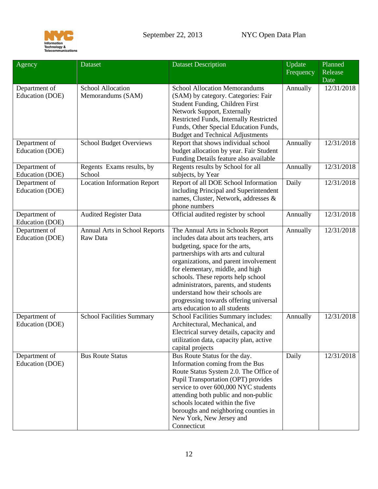

<span id="page-11-0"></span>

| Agency                           | <b>Dataset</b>                            | <b>Dataset Description</b>                                                                                                                                                                                                                                                                                                                                                                                                        | Update<br>Frequency | Planned<br>Release<br>Date |
|----------------------------------|-------------------------------------------|-----------------------------------------------------------------------------------------------------------------------------------------------------------------------------------------------------------------------------------------------------------------------------------------------------------------------------------------------------------------------------------------------------------------------------------|---------------------|----------------------------|
| Department of<br>Education (DOE) | School Allocation<br>Memorandums (SAM)    | <b>School Allocation Memorandums</b><br>(SAM) by category. Categories: Fair                                                                                                                                                                                                                                                                                                                                                       | Annually            | 12/31/2018                 |
|                                  |                                           | Student Funding, Children First<br>Network Support, Externally                                                                                                                                                                                                                                                                                                                                                                    |                     |                            |
|                                  |                                           | Restricted Funds, Internally Restricted                                                                                                                                                                                                                                                                                                                                                                                           |                     |                            |
|                                  |                                           | Funds, Other Special Education Funds,<br><b>Budget and Technical Adjustments</b>                                                                                                                                                                                                                                                                                                                                                  |                     |                            |
| Department of<br>Education (DOE) | <b>School Budget Overviews</b>            | Report that shows individual school<br>budget allocation by year. Fair Student<br>Funding Details feature also available                                                                                                                                                                                                                                                                                                          | Annually            | 12/31/2018                 |
| Department of<br>Education (DOE) | Regents Exams results, by<br>School       | Regents results by School for all<br>subjects, by Year                                                                                                                                                                                                                                                                                                                                                                            | Annually            | 12/31/2018                 |
| Department of<br>Education (DOE) | <b>Location Information Report</b>        | Report of all DOE School Information<br>including Principal and Superintendent<br>names, Cluster, Network, addresses &<br>phone numbers                                                                                                                                                                                                                                                                                           | Daily               | 12/31/2018                 |
| Department of<br>Education (DOE) | <b>Audited Register Data</b>              | Official audited register by school                                                                                                                                                                                                                                                                                                                                                                                               | Annually            | 12/31/2018                 |
| Department of<br>Education (DOE) | Annual Arts in School Reports<br>Raw Data | The Annual Arts in Schools Report<br>includes data about arts teachers, arts<br>budgeting, space for the arts,<br>partnerships with arts and cultural<br>organizations, and parent involvement<br>for elementary, middle, and high<br>schools. These reports help school<br>administrators, parents, and students<br>understand how their schools are<br>progressing towards offering universal<br>arts education to all students | Annually            | 12/31/2018                 |
| Department of<br>Education (DOE) | <b>School Facilities Summary</b>          | School Facilities Summary includes:<br>Architectural, Mechanical, and<br>Electrical survey details, capacity and<br>utilization data, capacity plan, active<br>capital projects                                                                                                                                                                                                                                                   | Annually            | 12/31/2018                 |
| Department of<br>Education (DOE) | <b>Bus Route Status</b>                   | Bus Route Status for the day.<br>Information coming from the Bus<br>Route Status System 2.0. The Office of<br>Pupil Transportation (OPT) provides<br>service to over 600,000 NYC students<br>attending both public and non-public<br>schools located within the five<br>boroughs and neighboring counties in<br>New York, New Jersey and<br>Connecticut                                                                           | Daily               | 12/31/2018                 |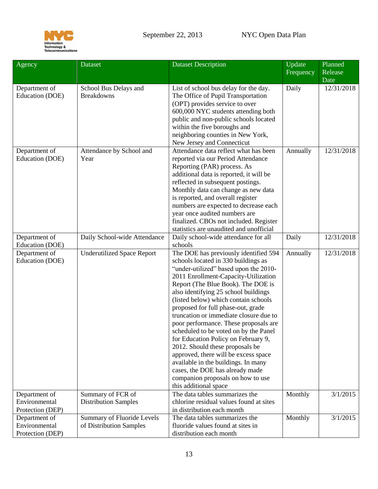

<span id="page-12-0"></span>

| Agency                            | <b>Dataset</b>                             | <b>Dataset Description</b>                                                                                                                                                                                                                                                                                                                                                                                                                                                                                                                                                                                                                                                                                      | Update<br>Frequency | Planned<br>Release<br>Date |
|-----------------------------------|--------------------------------------------|-----------------------------------------------------------------------------------------------------------------------------------------------------------------------------------------------------------------------------------------------------------------------------------------------------------------------------------------------------------------------------------------------------------------------------------------------------------------------------------------------------------------------------------------------------------------------------------------------------------------------------------------------------------------------------------------------------------------|---------------------|----------------------------|
| Department of<br>Education (DOE)  | School Bus Delays and<br><b>Breakdowns</b> | List of school bus delay for the day.<br>The Office of Pupil Transportation<br>(OPT) provides service to over<br>600,000 NYC students attending both<br>public and non-public schools located<br>within the five boroughs and<br>neighboring counties in New York,<br>New Jersey and Connecticut                                                                                                                                                                                                                                                                                                                                                                                                                | Daily               | 12/31/2018                 |
| Department of<br>Education (DOE)  | Attendance by School and<br>Year           | Attendance data reflect what has been<br>reported via our Period Attendance<br>Reporting (PAR) process. As<br>additional data is reported, it will be<br>reflected in subsequent postings.<br>Monthly data can change as new data<br>is reported, and overall register<br>numbers are expected to decrease each<br>year once audited numbers are<br>finalized. CBOs not included. Register<br>statistics are unaudited and unofficial                                                                                                                                                                                                                                                                           | Annually            | 12/31/2018                 |
| Department of<br>Education (DOE)  | Daily School-wide Attendance               | Daily school-wide attendance for all<br>schools                                                                                                                                                                                                                                                                                                                                                                                                                                                                                                                                                                                                                                                                 | Daily               | 12/31/2018                 |
| Department of<br>Education (DOE)  | <b>Underutilized Space Report</b>          | The DOE has previously identified 594<br>schools located in 330 buildings as<br>"under-utilized" based upon the 2010-<br>2011 Enrollment-Capacity-Utilization<br>Report (The Blue Book). The DOE is<br>also identifying 25 school buildings<br>(listed below) which contain schools<br>proposed for full phase-out, grade<br>truncation or immediate closure due to<br>poor performance. These proposals are<br>scheduled to be voted on by the Panel<br>for Education Policy on February 9,<br>2012. Should these proposals be<br>approved, there will be excess space<br>available in the buildings. In many<br>cases, the DOE has already made<br>companion proposals on how to use<br>this additional space | Annually            | 12/31/2018                 |
| Department of                     | Summary of FCR of                          | The data tables summarizes the                                                                                                                                                                                                                                                                                                                                                                                                                                                                                                                                                                                                                                                                                  | Monthly             | 3/1/2015                   |
| Environmental<br>Protection (DEP) | <b>Distribution Samples</b>                | chlorine residual values found at sites<br>in distribution each month                                                                                                                                                                                                                                                                                                                                                                                                                                                                                                                                                                                                                                           |                     |                            |
| Department of                     | Summary of Fluoride Levels                 | The data tables summarizes the                                                                                                                                                                                                                                                                                                                                                                                                                                                                                                                                                                                                                                                                                  | Monthly             | 3/1/2015                   |
| Environmental<br>Protection (DEP) | of Distribution Samples                    | fluoride values found at sites in<br>distribution each month                                                                                                                                                                                                                                                                                                                                                                                                                                                                                                                                                                                                                                                    |                     |                            |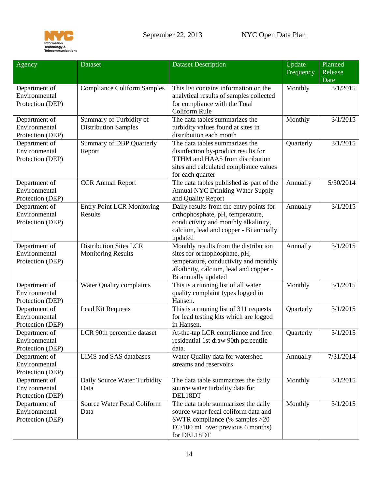

| Agency                                             | Dataset                                                    | <b>Dataset Description</b>                                                                                                                                                       | Update<br>Frequency | Planned<br>Release<br>Date |
|----------------------------------------------------|------------------------------------------------------------|----------------------------------------------------------------------------------------------------------------------------------------------------------------------------------|---------------------|----------------------------|
| Department of<br>Environmental<br>Protection (DEP) | <b>Compliance Coliform Samples</b>                         | This list contains information on the<br>analytical results of samples collected<br>for compliance with the Total<br>Coliform Rule                                               | Monthly             | 3/1/2015                   |
| Department of<br>Environmental<br>Protection (DEP) | Summary of Turbidity of<br><b>Distribution Samples</b>     | The data tables summarizes the<br>turbidity values found at sites in<br>distribution each month                                                                                  | Monthly             | 3/1/2015                   |
| Department of<br>Environmental<br>Protection (DEP) | <b>Summary of DBP Quarterly</b><br>Report                  | The data tables summarizes the<br>disinfection by-product results for<br>TTHM and HAA5 from distribution<br>sites and calculated compliance values<br>for each quarter           | Quarterly           | 3/1/2015                   |
| Department of<br>Environmental<br>Protection (DEP) | <b>CCR Annual Report</b>                                   | The data tables published as part of the<br><b>Annual NYC Drinking Water Supply</b><br>and Quality Report                                                                        | Annually            | 5/30/2014                  |
| Department of<br>Environmental<br>Protection (DEP) | <b>Entry Point LCR Monitoring</b><br>Results               | Daily results from the entry points for<br>orthophosphate, pH, temperature,<br>conductivity and monthly alkalinity,<br>calcium, lead and copper - Bi annually<br>updated         | Annually            | 3/1/2015                   |
| Department of<br>Environmental<br>Protection (DEP) | <b>Distribution Sites LCR</b><br><b>Monitoring Results</b> | Monthly results from the distribution<br>sites for orthophosphate, pH,<br>temperature, conductivity and monthly<br>alkalinity, calcium, lead and copper -<br>Bi annually updated | Annually            | 3/1/2015                   |
| Department of<br>Environmental<br>Protection (DEP) | Water Quality complaints                                   | This is a running list of all water<br>quality complaint types logged in<br>Hansen.                                                                                              | Monthly             | 3/1/2015                   |
| Department of<br>Environmental<br>Protection (DEP) | Lead Kit Requests                                          | This is a running list of 311 requests<br>for lead testing kits which are logged<br>in Hansen.                                                                                   | Quarterly           | 3/1/2015                   |
| Department of<br>Environmental<br>Protection (DEP) | LCR 90th percentile dataset                                | At-the-tap LCR compliance and free<br>residential 1st draw 90th percentile<br>data.                                                                                              | Quarterly           | 3/1/2015                   |
| Department of<br>Environmental<br>Protection (DEP) | LIMS and SAS databases                                     | Water Quality data for watershed<br>streams and reservoirs                                                                                                                       | Annually            | 7/31/2014                  |
| Department of<br>Environmental<br>Protection (DEP) | Daily Source Water Turbidity<br>Data                       | The data table summarizes the daily<br>source water turbidity data for<br>DEL18DT                                                                                                | Monthly             | 3/1/2015                   |
| Department of<br>Environmental<br>Protection (DEP) | <b>Source Water Fecal Coliform</b><br>Data                 | The data table summarizes the daily<br>source water fecal coliform data and<br>SWTR compliance (% samples $>20$<br>FC/100 mL over previous 6 months)<br>for DEL18DT              | Monthly             | 3/1/2015                   |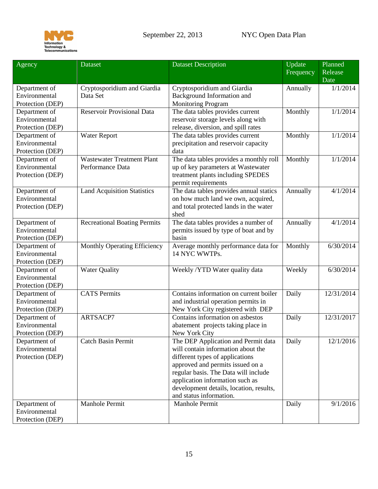

| Agency                         | Dataset                             | <b>Dataset Description</b>              | Update<br>Frequency | Planned<br>Release<br>Date |
|--------------------------------|-------------------------------------|-----------------------------------------|---------------------|----------------------------|
| Department of                  | Cryptosporidium and Giardia         | Cryptosporidium and Giardia             | Annually            | 1/1/2014                   |
| Environmental                  | Data Set                            | Background Information and              |                     |                            |
| Protection (DEP)               |                                     | <b>Monitoring Program</b>               |                     |                            |
| Department of                  | <b>Reservoir Provisional Data</b>   | The data tables provides current        | Monthly             | 1/1/2014                   |
| Environmental                  |                                     | reservoir storage levels along with     |                     |                            |
| Protection (DEP)               |                                     | release, diversion, and spill rates     |                     |                            |
| Department of                  | Water Report                        | The data tables provides current        | Monthly             | 1/1/2014                   |
| Environmental                  |                                     | precipitation and reservoir capacity    |                     |                            |
| Protection (DEP)               |                                     | data                                    |                     |                            |
| Department of                  | <b>Wastewater Treatment Plant</b>   | The data tables provides a monthly roll | Monthly             | 1/1/2014                   |
| Environmental                  | Performance Data                    | up of key parameters at Wastewater      |                     |                            |
| Protection (DEP)               |                                     | treatment plants including SPEDES       |                     |                            |
|                                |                                     | permit requirements                     |                     |                            |
| Department of                  | <b>Land Acquisition Statistics</b>  | The data tables provides annual statics | Annually            | 4/1/2014                   |
| Environmental                  |                                     | on how much land we own, acquired,      |                     |                            |
| Protection (DEP)               |                                     | and total protected lands in the water  |                     |                            |
|                                |                                     | shed                                    |                     |                            |
| Department of                  | <b>Recreational Boating Permits</b> | The data tables provides a number of    | Annually            | 4/1/2014                   |
| Environmental                  |                                     | permits issued by type of boat and by   |                     |                            |
| Protection (DEP)               |                                     | basin                                   |                     |                            |
| Department of                  | Monthly Operating Efficiency        | Average monthly performance data for    | Monthly             | 6/30/2014                  |
| Environmental                  |                                     | 14 NYC WWTPs.                           |                     |                            |
| Protection (DEP)               |                                     |                                         |                     |                            |
| Department of<br>Environmental | <b>Water Quality</b>                | Weekly /YTD Water quality data          | Weekly              | 6/30/2014                  |
| Protection (DEP)               |                                     |                                         |                     |                            |
| Department of                  | <b>CATS</b> Permits                 | Contains information on current boiler  | Daily               | 12/31/2014                 |
| Environmental                  |                                     | and industrial operation permits in     |                     |                            |
| Protection (DEP)               |                                     | New York City registered with DEP       |                     |                            |
| Department of                  | ARTSACP7                            | Contains information on asbestos        | Daily               | 12/31/2017                 |
| Environmental                  |                                     | abatement projects taking place in      |                     |                            |
| Protection (DEP)               |                                     | New York City                           |                     |                            |
| Department of                  | <b>Catch Basin Permit</b>           | The DEP Application and Permit data     | Daily               | 12/1/2016                  |
| Environmental                  |                                     | will contain information about the      |                     |                            |
| Protection (DEP)               |                                     | different types of applications         |                     |                            |
|                                |                                     | approved and permits issued on a        |                     |                            |
|                                |                                     | regular basis. The Data will include    |                     |                            |
|                                |                                     | application information such as         |                     |                            |
|                                |                                     | development details, location, results, |                     |                            |
|                                |                                     | and status information.                 |                     |                            |
| Department of                  | Manhole Permit                      | Manhole Permit                          | Daily               | 9/1/2016                   |
| Environmental                  |                                     |                                         |                     |                            |
| Protection (DEP)               |                                     |                                         |                     |                            |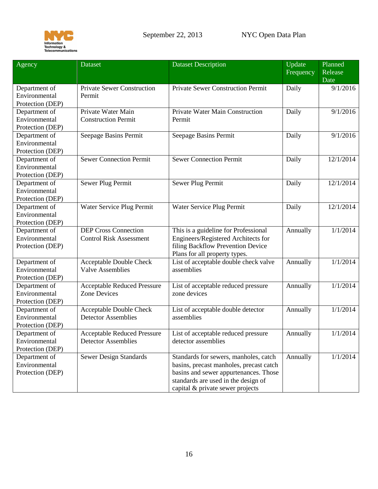

| Agency                                             | <b>Dataset</b>                                                   | <b>Dataset Description</b>                                                                                                                                                                           | Update<br>Frequency | Planned<br>Release |
|----------------------------------------------------|------------------------------------------------------------------|------------------------------------------------------------------------------------------------------------------------------------------------------------------------------------------------------|---------------------|--------------------|
|                                                    |                                                                  |                                                                                                                                                                                                      |                     | Date               |
| Department of<br>Environmental<br>Protection (DEP) | <b>Private Sewer Construction</b><br>Permit                      | <b>Private Sewer Construction Permit</b>                                                                                                                                                             | Daily               | 9/1/2016           |
| Department of<br>Environmental<br>Protection (DEP) | Private Water Main<br><b>Construction Permit</b>                 | Private Water Main Construction<br>Permit                                                                                                                                                            | Daily               | 9/1/2016           |
| Department of<br>Environmental<br>Protection (DEP) | Seepage Basins Permit                                            | Seepage Basins Permit                                                                                                                                                                                | Daily               | 9/1/2016           |
| Department of<br>Environmental<br>Protection (DEP) | <b>Sewer Connection Permit</b>                                   | <b>Sewer Connection Permit</b>                                                                                                                                                                       | Daily               | 12/1/2014          |
| Department of<br>Environmental<br>Protection (DEP) | Sewer Plug Permit                                                | Sewer Plug Permit                                                                                                                                                                                    | Daily               | 12/1/2014          |
| Department of<br>Environmental<br>Protection (DEP) | Water Service Plug Permit                                        | Water Service Plug Permit                                                                                                                                                                            | Daily               | 12/1/2014          |
| Department of<br>Environmental<br>Protection (DEP) | <b>DEP Cross Connection</b><br><b>Control Risk Assessment</b>    | This is a guideline for Professional<br>Engineers/Registered Architects for<br>filing Backflow Prevention Device<br>Plans for all property types.                                                    | Annually            | 1/1/2014           |
| Department of<br>Environmental<br>Protection (DEP) | Acceptable Double Check<br><b>Valve Assemblies</b>               | List of acceptable double check valve<br>assemblies                                                                                                                                                  | Annually            | 1/1/2014           |
| Department of<br>Environmental<br>Protection (DEP) | <b>Acceptable Reduced Pressure</b><br><b>Zone Devices</b>        | List of acceptable reduced pressure<br>zone devices                                                                                                                                                  | Annually            | 1/1/2014           |
| Department of<br>Environmental<br>Protection (DEP) | Acceptable Double Check<br><b>Detector Assemblies</b>            | List of acceptable double detector<br>assemblies                                                                                                                                                     | Annually            | 1/1/2014           |
| Department of<br>Environmental<br>Protection (DEP) | <b>Acceptable Reduced Pressure</b><br><b>Detector Assemblies</b> | List of acceptable reduced pressure<br>detector assemblies                                                                                                                                           | Annually            | 1/1/2014           |
| Department of<br>Environmental<br>Protection (DEP) | <b>Sewer Design Standards</b>                                    | Standards for sewers, manholes, catch<br>basins, precast manholes, precast catch<br>basins and sewer appurtenances. Those<br>standards are used in the design of<br>capital & private sewer projects | Annually            | 1/1/2014           |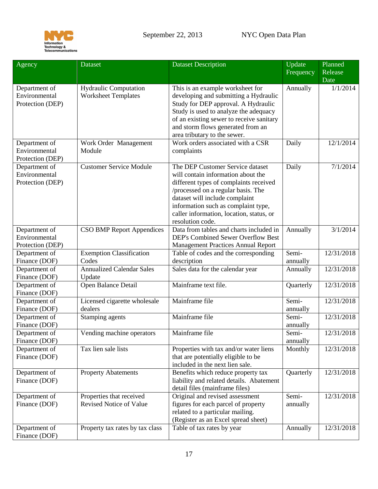

<span id="page-16-0"></span>

| Agency                                             | Dataset                                                    | <b>Dataset Description</b>                                                                                                                                                                                                                                                                      | Update            | Planned    |
|----------------------------------------------------|------------------------------------------------------------|-------------------------------------------------------------------------------------------------------------------------------------------------------------------------------------------------------------------------------------------------------------------------------------------------|-------------------|------------|
|                                                    |                                                            |                                                                                                                                                                                                                                                                                                 | Frequency         | Release    |
|                                                    |                                                            |                                                                                                                                                                                                                                                                                                 |                   | Date       |
| Department of<br>Environmental<br>Protection (DEP) | <b>Hydraulic Computation</b><br><b>Worksheet Templates</b> | This is an example worksheet for<br>developing and submitting a Hydraulic<br>Study for DEP approval. A Hydraulic<br>Study is used to analyze the adequacy<br>of an existing sewer to receive sanitary<br>and storm flows generated from an<br>area tributary to the sewer.                      | Annually          | 1/1/2014   |
| Department of<br>Environmental<br>Protection (DEP) | Work Order Management<br>Module                            | Work orders associated with a CSR<br>complaints                                                                                                                                                                                                                                                 | Daily             | 12/1/2014  |
| Department of<br>Environmental<br>Protection (DEP) | <b>Customer Service Module</b>                             | The DEP Customer Service dataset<br>will contain information about the<br>different types of complaints received<br>/processed on a regular basis. The<br>dataset will include complaint<br>information such as complaint type,<br>caller information, location, status, or<br>resolution code. | Daily             | 7/1/2014   |
| Department of<br>Environmental<br>Protection (DEP) | <b>CSO BMP Report Appendices</b>                           | Data from tables and charts included in<br><b>DEP's Combined Sewer Overflow Best</b><br><b>Management Practices Annual Report</b>                                                                                                                                                               | Annually          | 3/1/2014   |
| Department of<br>Finance (DOF)                     | <b>Exemption Classification</b><br>Codes                   | Table of codes and the corresponding<br>description                                                                                                                                                                                                                                             | Semi-<br>annually | 12/31/2018 |
| Department of<br>Finance (DOF)                     | <b>Annualized Calendar Sales</b><br>Update                 | Sales data for the calendar year                                                                                                                                                                                                                                                                | Annually          | 12/31/2018 |
| Department of<br>Finance (DOF)                     | Open Balance Detail                                        | Mainframe text file.                                                                                                                                                                                                                                                                            | Quarterly         | 12/31/2018 |
| Department of<br>Finance (DOF)                     | Licensed cigarette wholesale<br>dealers                    | Mainframe file                                                                                                                                                                                                                                                                                  | Semi-<br>annually | 12/31/2018 |
| Department of<br>Finance (DOF)                     | Stamping agents                                            | Mainframe file                                                                                                                                                                                                                                                                                  | Semi-<br>annually | 12/31/2018 |
| Department of<br>Finance (DOF)                     | Vending machine operators                                  | Mainframe file                                                                                                                                                                                                                                                                                  | Semi-<br>annually | 12/31/2018 |
| Department of<br>Finance (DOF)                     | Tax lien sale lists                                        | Properties with tax and/or water liens<br>that are potentially eligible to be<br>included in the next lien sale.                                                                                                                                                                                | Monthly           | 12/31/2018 |
| Department of<br>Finance (DOF)                     | <b>Property Abatements</b>                                 | Benefits which reduce property tax<br>liability and related details. Abatement<br>detail files (mainframe files)                                                                                                                                                                                | Quarterly         | 12/31/2018 |
| Department of<br>Finance (DOF)                     | Properties that received<br><b>Revised Notice of Value</b> | Original and revised assessment<br>figures for each parcel of property<br>related to a particular mailing.<br>(Register as an Excel spread sheet)                                                                                                                                               | Semi-<br>annually | 12/31/2018 |
| Department of<br>Finance (DOF)                     | Property tax rates by tax class                            | Table of tax rates by year                                                                                                                                                                                                                                                                      | Annually          | 12/31/2018 |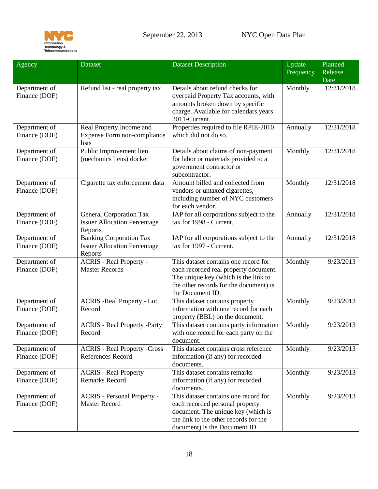

| Agency                         | <b>Dataset</b>                                                                   | <b>Dataset Description</b>                                                                                                                                                              | Update    | Planned         |
|--------------------------------|----------------------------------------------------------------------------------|-----------------------------------------------------------------------------------------------------------------------------------------------------------------------------------------|-----------|-----------------|
|                                |                                                                                  |                                                                                                                                                                                         | Frequency | Release<br>Date |
| Department of<br>Finance (DOF) | Refund list - real property tax                                                  | Details about refund checks for<br>overpaid Property Tax accounts, with<br>amounts broken down by specific<br>charge. Available for calendars years<br>2011-Current.                    | Monthly   | 12/31/2018      |
| Department of<br>Finance (DOF) | Real Property Income and<br>Expense Form non-compliance<br>lists                 | Properties required to file RPIE-2010<br>which did not do so.                                                                                                                           | Annually  | 12/31/2018      |
| Department of<br>Finance (DOF) | Public Improvement lien<br>(mechanics liens) docket                              | Details about claims of non-payment<br>for labor or materials provided to a<br>government contractor or<br>subcontractor.                                                               | Monthly   | 12/31/2018      |
| Department of<br>Finance (DOF) | Cigarette tax enforcement data                                                   | Amount billed and collected from<br>vendors or untaxed cigarettes,<br>including number of NYC customers<br>for each vendor.                                                             | Monthly   | 12/31/2018      |
| Department of<br>Finance (DOF) | <b>General Corporation Tax</b><br><b>Issuer Allocation Percentage</b><br>Reports | IAP for all corporations subject to the<br>tax for 1998 - Current.                                                                                                                      | Annually  | 12/31/2018      |
| Department of<br>Finance (DOF) | <b>Banking Corporation Tax</b><br><b>Issuer Allocation Percentage</b><br>Reports | IAP for all corporations subject to the<br>tax for 1997 - Current.                                                                                                                      | Annually  | 12/31/2018      |
| Department of<br>Finance (DOF) | <b>ACRIS - Real Property -</b><br><b>Master Records</b>                          | This dataset contains one record for<br>each recorded real property document.<br>The unique key (which is the link to<br>the other records for the document) is<br>the Document ID.     | Monthly   | 9/23/2013       |
| Department of<br>Finance (DOF) | <b>ACRIS - Real Property - Lot</b><br>Record                                     | This dataset contains property<br>information with one record for each<br>property (BBL) on the document.                                                                               | Monthly   | 9/23/2013       |
| Department of<br>Finance (DOF) | <b>ACRIS</b> - Real Property -Party<br>Record                                    | This dataset contains party information<br>with one record for each party on the<br>document.                                                                                           | Monthly   | 9/23/2013       |
| Department of<br>Finance (DOF) | <b>ACRIS - Real Property -Cross</b><br>References Record                         | This dataset contains cross reference<br>information (if any) for recorded<br>documents.                                                                                                | Monthly   | 9/23/2013       |
| Department of<br>Finance (DOF) | <b>ACRIS</b> - Real Property -<br><b>Remarks Record</b>                          | This dataset contains remarks<br>information (if any) for recorded<br>documents.                                                                                                        | Monthly   | 9/23/2013       |
| Department of<br>Finance (DOF) | <b>ACRIS</b> - Personal Property -<br><b>Master Record</b>                       | This dataset contains one record for<br>each recorded personal property<br>document. The unique key (which is<br>the link to the other records for the<br>document) is the Document ID. | Monthly   | 9/23/2013       |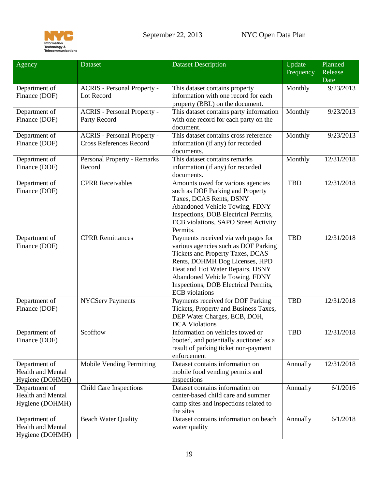

<span id="page-18-0"></span>

| Agency                         | Dataset                                                              | <b>Dataset Description</b>                                | Update     | Planned    |
|--------------------------------|----------------------------------------------------------------------|-----------------------------------------------------------|------------|------------|
|                                |                                                                      |                                                           | Frequency  | Release    |
|                                |                                                                      |                                                           |            | Date       |
| Department of                  | <b>ACRIS</b> - Personal Property -                                   | This dataset contains property                            | Monthly    | 9/23/2013  |
| Finance (DOF)                  | Lot Record                                                           | information with one record for each                      |            |            |
|                                |                                                                      | property (BBL) on the document.                           |            |            |
| Department of                  | <b>ACRIS</b> - Personal Property -                                   | This dataset contains party information                   | Monthly    | 9/23/2013  |
| Finance (DOF)                  | Party Record                                                         | with one record for each party on the                     |            |            |
|                                |                                                                      | document.<br>This dataset contains cross reference        |            | 9/23/2013  |
| Department of<br>Finance (DOF) | <b>ACRIS</b> - Personal Property -<br><b>Cross References Record</b> |                                                           | Monthly    |            |
|                                |                                                                      | information (if any) for recorded<br>documents.           |            |            |
| Department of                  | Personal Property - Remarks                                          | This dataset contains remarks                             | Monthly    | 12/31/2018 |
| Finance (DOF)                  | Record                                                               | information (if any) for recorded                         |            |            |
|                                |                                                                      | documents.                                                |            |            |
| Department of                  | <b>CPRR</b> Receivables                                              | Amounts owed for various agencies                         | <b>TBD</b> | 12/31/2018 |
| Finance (DOF)                  |                                                                      | such as DOF Parking and Property                          |            |            |
|                                |                                                                      | Taxes, DCAS Rents, DSNY                                   |            |            |
|                                |                                                                      | Abandoned Vehicle Towing, FDNY                            |            |            |
|                                |                                                                      | Inspections, DOB Electrical Permits,                      |            |            |
|                                |                                                                      | ECB violations, SAPO Street Activity                      |            |            |
|                                |                                                                      | Permits.                                                  |            |            |
| Department of                  | <b>CPRR</b> Remittances                                              | Payments received via web pages for                       | <b>TBD</b> | 12/31/2018 |
| Finance (DOF)                  |                                                                      | various agencies such as DOF Parking                      |            |            |
|                                |                                                                      | Tickets and Property Taxes, DCAS                          |            |            |
|                                |                                                                      | Rents, DOHMH Dog Licenses, HPD                            |            |            |
|                                |                                                                      | Heat and Hot Water Repairs, DSNY                          |            |            |
|                                |                                                                      | Abandoned Vehicle Towing, FDNY                            |            |            |
|                                |                                                                      | Inspections, DOB Electrical Permits,                      |            |            |
|                                |                                                                      | <b>ECB</b> violations                                     |            |            |
| Department of                  | <b>NYCServ Payments</b>                                              | Payments received for DOF Parking                         | <b>TBD</b> | 12/31/2018 |
| Finance (DOF)                  |                                                                      | Tickets, Property and Business Taxes,                     |            |            |
|                                |                                                                      | DEP Water Charges, ECB, DOH,                              |            |            |
|                                | Scofftow                                                             | <b>DCA Violations</b><br>Information on vehicles towed or | <b>TBD</b> | 12/31/2018 |
| Department of<br>Finance (DOF) |                                                                      | booted, and potentially auctioned as a                    |            |            |
|                                |                                                                      | result of parking ticket non-payment                      |            |            |
|                                |                                                                      | enforcement                                               |            |            |
| Department of                  | <b>Mobile Vending Permitting</b>                                     | Dataset contains information on                           | Annually   | 12/31/2018 |
| <b>Health and Mental</b>       |                                                                      | mobile food vending permits and                           |            |            |
| Hygiene (DOHMH)                |                                                                      | inspections                                               |            |            |
| Department of                  | <b>Child Care Inspections</b>                                        | Dataset contains information on                           | Annually   | 6/1/2016   |
| <b>Health and Mental</b>       |                                                                      | center-based child care and summer                        |            |            |
| Hygiene (DOHMH)                |                                                                      | camp sites and inspections related to                     |            |            |
|                                |                                                                      | the sites                                                 |            |            |
| Department of                  | <b>Beach Water Quality</b>                                           | Dataset contains information on beach                     | Annually   | 6/1/2018   |
| <b>Health and Mental</b>       |                                                                      | water quality                                             |            |            |
| Hygiene (DOHMH)                |                                                                      |                                                           |            |            |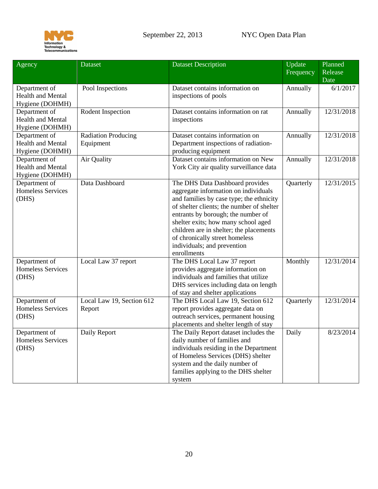

<span id="page-19-0"></span>

| Agency                                                       | Dataset                                 | <b>Dataset Description</b>                                                                                                                                                                                                                                                                                                                                               | Update    | Planned         |
|--------------------------------------------------------------|-----------------------------------------|--------------------------------------------------------------------------------------------------------------------------------------------------------------------------------------------------------------------------------------------------------------------------------------------------------------------------------------------------------------------------|-----------|-----------------|
|                                                              |                                         |                                                                                                                                                                                                                                                                                                                                                                          | Frequency | Release<br>Date |
| Department of<br><b>Health and Mental</b><br>Hygiene (DOHMH) | Pool Inspections                        | Dataset contains information on<br>inspections of pools                                                                                                                                                                                                                                                                                                                  | Annually  | 6/1/2017        |
| Department of<br><b>Health and Mental</b><br>Hygiene (DOHMH) | Rodent Inspection                       | Dataset contains information on rat<br>inspections                                                                                                                                                                                                                                                                                                                       | Annually  | 12/31/2018      |
| Department of<br><b>Health and Mental</b><br>Hygiene (DOHMH) | <b>Radiation Producing</b><br>Equipment | Dataset contains information on<br>Department inspections of radiation-<br>producing equipment                                                                                                                                                                                                                                                                           | Annually  | 12/31/2018      |
| Department of<br><b>Health and Mental</b><br>Hygiene (DOHMH) | Air Quality                             | Dataset contains information on New<br>York City air quality surveillance data                                                                                                                                                                                                                                                                                           | Annually  | 12/31/2018      |
| Department of<br><b>Homeless Services</b><br>(DHS)           | Data Dashboard                          | The DHS Data Dashboard provides<br>aggregate information on individuals<br>and families by case type; the ethnicity<br>of shelter clients; the number of shelter<br>entrants by borough; the number of<br>shelter exits; how many school aged<br>children are in shelter; the placements<br>of chronically street homeless<br>individuals; and prevention<br>enrollments | Quarterly | 12/31/2015      |
| Department of<br><b>Homeless Services</b><br>(DHS)           | Local Law 37 report                     | The DHS Local Law 37 report<br>provides aggregate information on<br>individuals and families that utilize<br>DHS services including data on length<br>of stay and shelter applications                                                                                                                                                                                   | Monthly   | 12/31/2014      |
| Department of<br><b>Homeless Services</b><br>(DHS)           | Local Law 19, Section 612<br>Report     | The DHS Local Law 19, Section 612<br>report provides aggregate data on<br>outreach services, permanent housing<br>placements and shelter length of stay                                                                                                                                                                                                                  | Quarterly | 12/31/2014      |
| Department of<br><b>Homeless Services</b><br>(DHS)           | Daily Report                            | The Daily Report dataset includes the<br>daily number of families and<br>individuals residing in the Department<br>of Homeless Services (DHS) shelter<br>system and the daily number of<br>families applying to the DHS shelter<br>system                                                                                                                                | Daily     | 8/23/2014       |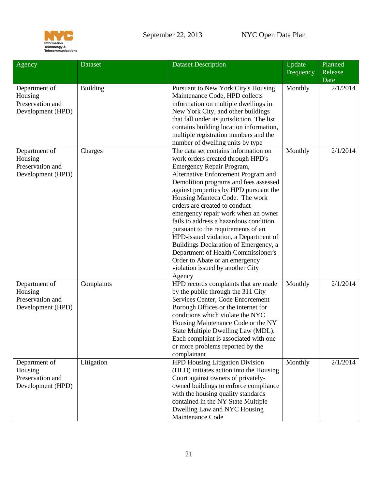

<span id="page-20-0"></span>

| Agency                                                            | Dataset         | <b>Dataset Description</b>                                                                                                                                                                                                                                                                                                                                                                                                                                                                                                                                                                                                          | Update<br>Frequency | Planned<br>Release<br>Date |
|-------------------------------------------------------------------|-----------------|-------------------------------------------------------------------------------------------------------------------------------------------------------------------------------------------------------------------------------------------------------------------------------------------------------------------------------------------------------------------------------------------------------------------------------------------------------------------------------------------------------------------------------------------------------------------------------------------------------------------------------------|---------------------|----------------------------|
| Department of<br>Housing<br>Preservation and<br>Development (HPD) | <b>Building</b> | Pursuant to New York City's Housing<br>Maintenance Code, HPD collects<br>information on multiple dwellings in<br>New York City, and other buildings<br>that fall under its jurisdiction. The list<br>contains building location information,<br>multiple registration numbers and the<br>number of dwelling units by type                                                                                                                                                                                                                                                                                                           | Monthly             | 2/1/2014                   |
| Department of<br>Housing<br>Preservation and<br>Development (HPD) | Charges         | The data set contains information on<br>work orders created through HPD's<br>Emergency Repair Program,<br>Alternative Enforcement Program and<br>Demolition programs and fees assessed<br>against properties by HPD pursuant the<br>Housing Manteca Code. The work<br>orders are created to conduct<br>emergency repair work when an owner<br>fails to address a hazardous condition<br>pursuant to the requirements of an<br>HPD-issued violation, a Department of<br>Buildings Declaration of Emergency, a<br>Department of Health Commissioner's<br>Order to Abate or an emergency<br>violation issued by another City<br>Agency | Monthly             | 2/1/2014                   |
| Department of<br>Housing<br>Preservation and<br>Development (HPD) | Complaints      | HPD records complaints that are made<br>by the public through the 311 City<br>Services Center, Code Enforcement<br>Borough Offices or the internet for<br>conditions which violate the NYC<br>Housing Maintenance Code or the NY<br>State Multiple Dwelling Law (MDL).<br>Each complaint is associated with one<br>or more problems reported by the<br>complainant                                                                                                                                                                                                                                                                  | Monthly             | 2/1/2014                   |
| Department of<br>Housing<br>Preservation and<br>Development (HPD) | Litigation      | <b>HPD Housing Litigation Division</b><br>(HLD) initiates action into the Housing<br>Court against owners of privately-<br>owned buildings to enforce compliance<br>with the housing quality standards<br>contained in the NY State Multiple<br>Dwelling Law and NYC Housing<br>Maintenance Code                                                                                                                                                                                                                                                                                                                                    | Monthly             | 2/1/2014                   |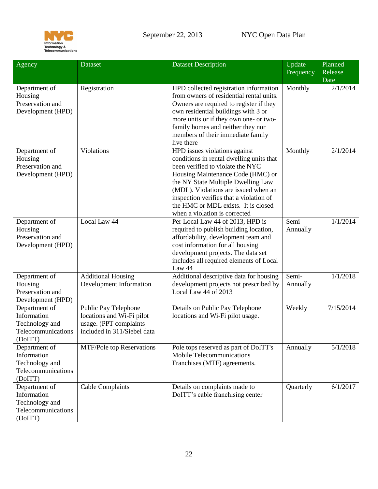

<span id="page-21-0"></span>

| Agency                                                                          | <b>Dataset</b>                                                                                             | <b>Dataset Description</b>                                                                                                                                                                                                                                                                                                                          | Update<br>Frequency | Planned<br>Release<br>Date |
|---------------------------------------------------------------------------------|------------------------------------------------------------------------------------------------------------|-----------------------------------------------------------------------------------------------------------------------------------------------------------------------------------------------------------------------------------------------------------------------------------------------------------------------------------------------------|---------------------|----------------------------|
| Department of<br>Housing<br>Preservation and<br>Development (HPD)               | Registration                                                                                               | HPD collected registration information<br>from owners of residential rental units.<br>Owners are required to register if they<br>own residential buildings with 3 or<br>more units or if they own one- or two-<br>family homes and neither they nor<br>members of their immediate family<br>live there                                              | Monthly             | 2/1/2014                   |
| Department of<br>Housing<br>Preservation and<br>Development (HPD)               | Violations                                                                                                 | HPD issues violations against<br>conditions in rental dwelling units that<br>been verified to violate the NYC<br>Housing Maintenance Code (HMC) or<br>the NY State Multiple Dwelling Law<br>(MDL). Violations are issued when an<br>inspection verifies that a violation of<br>the HMC or MDL exists. It is closed<br>when a violation is corrected | Monthly             | 2/1/2014                   |
| Department of<br>Housing<br>Preservation and<br>Development (HPD)               | Local Law 44                                                                                               | Per Local Law 44 of 2013, HPD is<br>required to publish building location,<br>affordability, development team and<br>cost information for all housing<br>development projects. The data set<br>includes all required elements of Local<br>Law 44                                                                                                    | Semi-<br>Annually   | 1/1/2014                   |
| Department of<br>Housing<br>Preservation and<br>Development (HPD)               | <b>Additional Housing</b><br>Development Information                                                       | Additional descriptive data for housing<br>development projects not prescribed by<br>Local Law 44 of 2013                                                                                                                                                                                                                                           | Semi-<br>Annually   | 1/1/2018                   |
| Department of<br>Information<br>Technology and<br>Telecommunications<br>(DoITT) | Public Pay Telephone<br>locations and Wi-Fi pilot<br>usage. (PPT complaints<br>included in 311/Siebel data | Details on Public Pay Telephone<br>locations and Wi-Fi pilot usage.                                                                                                                                                                                                                                                                                 | Weekly              | 7/15/2014                  |
| Department of<br>Information<br>Technology and<br>Telecommunications<br>(DoITT) | <b>MTF/Pole top Reservations</b>                                                                           | Pole tops reserved as part of DoITT's<br>Mobile Telecommunications<br>Franchises (MTF) agreements.                                                                                                                                                                                                                                                  | Annually            | 5/1/2018                   |
| Department of<br>Information<br>Technology and<br>Telecommunications<br>(DoITT) | Cable Complaints                                                                                           | Details on complaints made to<br>DoITT's cable franchising center                                                                                                                                                                                                                                                                                   | Quarterly           | 6/1/2017                   |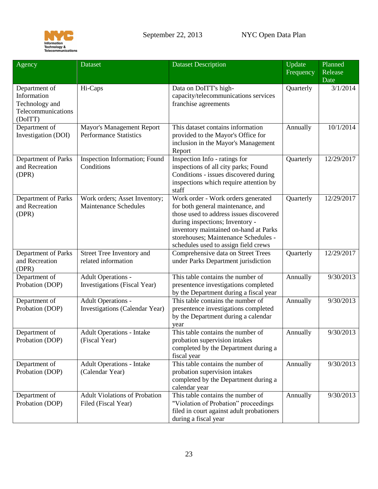

<span id="page-22-2"></span><span id="page-22-1"></span><span id="page-22-0"></span>

| Agency                                                                          | Dataset                                                       | <b>Dataset Description</b>                                                                                                                                                                                                                                                     | Update<br>Frequency | Planned<br>Release<br>Date |
|---------------------------------------------------------------------------------|---------------------------------------------------------------|--------------------------------------------------------------------------------------------------------------------------------------------------------------------------------------------------------------------------------------------------------------------------------|---------------------|----------------------------|
| Department of<br>Information<br>Technology and<br>Telecommunications<br>(DoITT) | Hi-Caps                                                       | Data on DoITT's high-<br>capacity/telecommunications services<br>franchise agreements                                                                                                                                                                                          | Quarterly           | 3/1/2014                   |
| Department of<br>Investigation (DOI)                                            | Mayor's Management Report<br><b>Performance Statistics</b>    | This dataset contains information<br>provided to the Mayor's Office for<br>inclusion in the Mayor's Management<br>Report                                                                                                                                                       | Annually            | 10/1/2014                  |
| Department of Parks<br>and Recreation<br>(DPR)                                  | Inspection Information; Found<br>Conditions                   | Inspection Info - ratings for<br>inspections of all city parks; Found<br>Conditions - issues discovered during<br>inspections which require attention by<br>staff                                                                                                              | Quarterly           | 12/29/2017                 |
| Department of Parks<br>and Recreation<br>(DPR)                                  | Work orders; Asset Inventory;<br><b>Maintenance Schedules</b> | Work order - Work orders generated<br>for both general maintenance, and<br>those used to address issues discovered<br>during inspections; Inventory -<br>inventory maintained on-hand at Parks<br>storehouses; Maintenance Schedules -<br>schedules used to assign field crews | Quarterly           | 12/29/2017                 |
| Department of Parks<br>and Recreation<br>(DPR)                                  | Street Tree Inventory and<br>related information              | Comprehensive data on Street Trees<br>under Parks Department jurisdiction                                                                                                                                                                                                      | Quarterly           | 12/29/2017                 |
| Department of<br>Probation (DOP)                                                | <b>Adult Operations -</b><br>Investigations (Fiscal Year)     | This table contains the number of<br>presentence investigations completed<br>by the Department during a fiscal year                                                                                                                                                            | Annually            | 9/30/2013                  |
| Department of<br>Probation (DOP)                                                | <b>Adult Operations -</b><br>Investigations (Calendar Year)   | This table contains the number of<br>presentence investigations completed<br>by the Department during a calendar<br>year                                                                                                                                                       | Annually            | 9/30/2013                  |
| Department of<br>Probation (DOP)                                                | <b>Adult Operations - Intake</b><br>(Fiscal Year)             | This table contains the number of<br>probation supervision intakes<br>completed by the Department during a<br>fiscal year                                                                                                                                                      | Annually            | 9/30/2013                  |
| Department of<br>Probation (DOP)                                                | <b>Adult Operations - Intake</b><br>(Calendar Year)           | This table contains the number of<br>probation supervision intakes<br>completed by the Department during a<br>calendar year                                                                                                                                                    | Annually            | 9/30/2013                  |
| Department of<br>Probation (DOP)                                                | <b>Adult Violations of Probation</b><br>Filed (Fiscal Year)   | This table contains the number of<br>"Violation of Probation" proceedings<br>filed in court against adult probationers<br>during a fiscal year                                                                                                                                 | Annually            | 9/30/2013                  |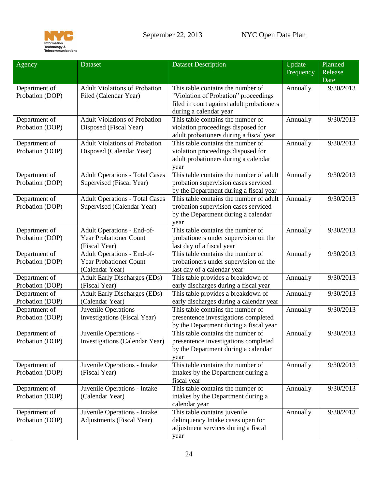

| Agency          | <b>Dataset</b>                        | <b>Dataset Description</b>                | Update    | Planned                |
|-----------------|---------------------------------------|-------------------------------------------|-----------|------------------------|
|                 |                                       |                                           | Frequency | Release                |
|                 |                                       |                                           |           | Date                   |
| Department of   | <b>Adult Violations of Probation</b>  | This table contains the number of         | Annually  | 9/30/2013              |
| Probation (DOP) | Filed (Calendar Year)                 | "Violation of Probation" proceedings      |           |                        |
|                 |                                       | filed in court against adult probationers |           |                        |
|                 |                                       | during a calendar year                    |           |                        |
| Department of   | <b>Adult Violations of Probation</b>  | This table contains the number of         | Annually  | 9/30/2013              |
| Probation (DOP) | Disposed (Fiscal Year)                | violation proceedings disposed for        |           |                        |
|                 |                                       | adult probationers during a fiscal year   |           |                        |
| Department of   | <b>Adult Violations of Probation</b>  | This table contains the number of         | Annually  | 9/30/2013              |
| Probation (DOP) | Disposed (Calendar Year)              | violation proceedings disposed for        |           |                        |
|                 |                                       | adult probationers during a calendar      |           |                        |
|                 |                                       | year                                      |           |                        |
| Department of   | <b>Adult Operations - Total Cases</b> | This table contains the number of adult   | Annually  | 9/30/2013              |
| Probation (DOP) | Supervised (Fiscal Year)              | probation supervision cases serviced      |           |                        |
|                 |                                       | by the Department during a fiscal year    |           |                        |
| Department of   | <b>Adult Operations - Total Cases</b> | This table contains the number of adult   | Annually  | 9/30/2013              |
| Probation (DOP) | Supervised (Calendar Year)            | probation supervision cases serviced      |           |                        |
|                 |                                       | by the Department during a calendar       |           |                        |
|                 |                                       | year                                      |           |                        |
| Department of   | Adult Operations - End-of-            | This table contains the number of         | Annually  | 9/30/2013              |
| Probation (DOP) | <b>Year Probationer Count</b>         | probationers under supervision on the     |           |                        |
|                 | (Fiscal Year)                         | last day of a fiscal year                 |           |                        |
| Department of   | Adult Operations - End-of-            | This table contains the number of         | Annually  | 9/30/2013              |
| Probation (DOP) | <b>Year Probationer Count</b>         | probationers under supervision on the     |           |                        |
|                 | (Calendar Year)                       | last day of a calendar year               |           |                        |
| Department of   | Adult Early Discharges (EDs)          | This table provides a breakdown of        | Annually  | $\overline{9/30/2013}$ |
| Probation (DOP) | (Fiscal Year)                         | early discharges during a fiscal year     |           |                        |
| Department of   | <b>Adult Early Discharges (EDs)</b>   | This table provides a breakdown of        | Annually  | 9/30/2013              |
| Probation (DOP) | (Calendar Year)                       | early discharges during a calendar year   |           |                        |
| Department of   | Juvenile Operations -                 | This table contains the number of         | Annually  | 9/30/2013              |
| Probation (DOP) | Investigations (Fiscal Year)          | presentence investigations completed      |           |                        |
|                 |                                       | by the Department during a fiscal year    |           |                        |
| Department of   | Juvenile Operations -                 | This table contains the number of         | Annually  | 9/30/2013              |
| Probation (DOP) | Investigations (Calendar Year)        | presentence investigations completed      |           |                        |
|                 |                                       | by the Department during a calendar       |           |                        |
|                 |                                       | year                                      |           |                        |
| Department of   | Juvenile Operations - Intake          | This table contains the number of         | Annually  | 9/30/2013              |
| Probation (DOP) | (Fiscal Year)                         | intakes by the Department during a        |           |                        |
|                 |                                       | fiscal year                               |           |                        |
| Department of   | Juvenile Operations - Intake          | This table contains the number of         | Annually  | 9/30/2013              |
| Probation (DOP) | (Calendar Year)                       | intakes by the Department during a        |           |                        |
|                 |                                       | calendar year                             |           |                        |
| Department of   | Juvenile Operations - Intake          | This table contains juvenile              | Annually  | 9/30/2013              |
| Probation (DOP) | Adjustments (Fiscal Year)             | delinquency Intake cases open for         |           |                        |
|                 |                                       | adjustment services during a fiscal       |           |                        |
|                 |                                       | year                                      |           |                        |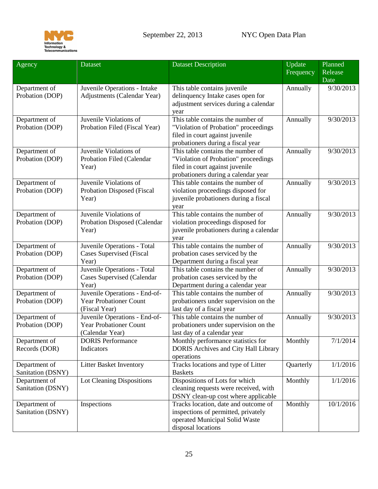

<span id="page-24-1"></span><span id="page-24-0"></span>

| Agency            | <b>Dataset</b>                    | <b>Dataset Description</b>                  | Update<br>Frequency | Planned<br>Release<br>Date |
|-------------------|-----------------------------------|---------------------------------------------|---------------------|----------------------------|
| Department of     | Juvenile Operations - Intake      | This table contains juvenile                | Annually            | 9/30/2013                  |
| Probation (DOP)   | Adjustments (Calendar Year)       | delinquency Intake cases open for           |                     |                            |
|                   |                                   | adjustment services during a calendar       |                     |                            |
|                   |                                   | year                                        |                     |                            |
| Department of     | Juvenile Violations of            | This table contains the number of           | Annually            | 9/30/2013                  |
| Probation (DOP)   | Probation Filed (Fiscal Year)     | "Violation of Probation" proceedings        |                     |                            |
|                   |                                   | filed in court against juvenile             |                     |                            |
|                   |                                   | probationers during a fiscal year           |                     |                            |
| Department of     | Juvenile Violations of            | This table contains the number of           | Annually            | 9/30/2013                  |
| Probation (DOP)   | Probation Filed (Calendar         | "Violation of Probation" proceedings        |                     |                            |
|                   | Year)                             | filed in court against juvenile             |                     |                            |
|                   |                                   | probationers during a calendar year         |                     |                            |
| Department of     | Juvenile Violations of            | This table contains the number of           | Annually            | 9/30/2013                  |
| Probation (DOP)   | <b>Probation Disposed (Fiscal</b> | violation proceedings disposed for          |                     |                            |
|                   | Year)                             | juvenile probationers during a fiscal       |                     |                            |
|                   |                                   | year                                        |                     |                            |
| Department of     | Juvenile Violations of            | This table contains the number of           | Annually            | 9/30/2013                  |
| Probation (DOP)   | Probation Disposed (Calendar      | violation proceedings disposed for          |                     |                            |
|                   | Year)                             | juvenile probationers during a calendar     |                     |                            |
|                   |                                   | year                                        |                     |                            |
| Department of     | Juvenile Operations - Total       | This table contains the number of           | Annually            | 9/30/2013                  |
| Probation (DOP)   | <b>Cases Supervised (Fiscal</b>   | probation cases serviced by the             |                     |                            |
|                   | Year)                             | Department during a fiscal year             |                     |                            |
| Department of     | Juvenile Operations - Total       | This table contains the number of           | Annually            | 9/30/2013                  |
| Probation (DOP)   | <b>Cases Supervised (Calendar</b> | probation cases serviced by the             |                     |                            |
|                   | Year)                             | Department during a calendar year           |                     |                            |
| Department of     | Juvenile Operations - End-of-     | This table contains the number of           | Annually            | 9/30/2013                  |
| Probation (DOP)   | <b>Year Probationer Count</b>     | probationers under supervision on the       |                     |                            |
|                   | (Fiscal Year)                     | last day of a fiscal year                   |                     |                            |
| Department of     | Juvenile Operations - End-of-     | This table contains the number of           | Annually            | 9/30/2013                  |
| Probation (DOP)   | <b>Year Probationer Count</b>     | probationers under supervision on the       |                     |                            |
|                   | (Calendar Year)                   | last day of a calendar year                 |                     |                            |
| Department of     | <b>DORIS</b> Performance          | Monthly performance statistics for          | Monthly             | 7/1/2014                   |
| Records (DOR)     | Indicators                        | <b>DORIS Archives and City Hall Library</b> |                     |                            |
|                   |                                   | operations                                  |                     |                            |
| Department of     | Litter Basket Inventory           | Tracks locations and type of Litter         | Quarterly           | 1/1/2016                   |
| Sanitation (DSNY) |                                   | <b>Baskets</b>                              |                     |                            |
| Department of     | Lot Cleaning Dispositions         | Dispositions of Lots for which              | Monthly             | 1/1/2016                   |
| Sanitation (DSNY) |                                   | cleaning requests were received, with       |                     |                            |
|                   |                                   | DSNY clean-up cost where applicable         |                     |                            |
| Department of     | Inspections                       | Tracks location, date and outcome of        | Monthly             | 10/1/2016                  |
| Sanitation (DSNY) |                                   | inspections of permitted, privately         |                     |                            |
|                   |                                   | operated Municipal Solid Waste              |                     |                            |
|                   |                                   | disposal locations                          |                     |                            |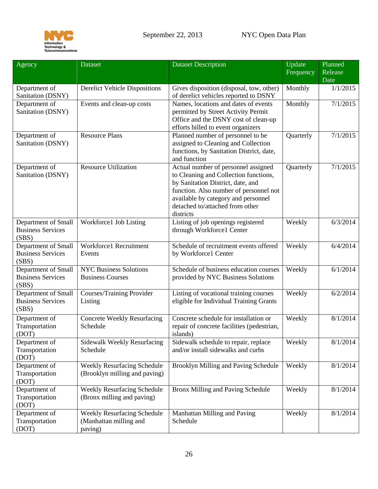

<span id="page-25-1"></span><span id="page-25-0"></span>

| Agency                                                   | <b>Dataset</b>                                                      | <b>Dataset Description</b>                                                                                                                                                                                                                         | Update    | Planned  |
|----------------------------------------------------------|---------------------------------------------------------------------|----------------------------------------------------------------------------------------------------------------------------------------------------------------------------------------------------------------------------------------------------|-----------|----------|
|                                                          |                                                                     |                                                                                                                                                                                                                                                    | Frequency | Release  |
|                                                          |                                                                     |                                                                                                                                                                                                                                                    |           | Date     |
| Department of<br>Sanitation (DSNY)                       | <b>Derelict Vehicle Dispositions</b>                                | Gives disposition (disposal, tow, other)<br>of derelict vehicles reported to DSNY                                                                                                                                                                  | Monthly   | 1/1/2015 |
| Department of<br>Sanitation (DSNY)                       | Events and clean-up costs                                           | Names, locations and dates of events<br>permitted by Street Activity Permit<br>Office and the DSNY cost of clean-up<br>efforts billed to event organizers                                                                                          | Monthly   | 7/1/2015 |
| Department of<br>Sanitation (DSNY)                       | Resource Plans                                                      | Planned number of personnel to be<br>assigned to Cleaning and Collection<br>functions, by Sanitation District, date,<br>and function                                                                                                               | Quarterly | 7/1/2015 |
| Department of<br>Sanitation (DSNY)                       | <b>Resource Utilization</b>                                         | Actual number of personnel assigned<br>to Cleaning and Collection functions,<br>by Sanitation District, date, and<br>function. Also number of personnel not<br>available by category and personnel<br>detached to/attached from other<br>districts | Quarterly | 7/1/2015 |
| Department of Small<br><b>Business Services</b><br>(SBS) | Workforce1 Job Listing                                              | Listing of job openings registered<br>through Workforce1 Center                                                                                                                                                                                    | Weekly    | 6/3/2014 |
| Department of Small<br><b>Business Services</b><br>(SBS) | Workforce1 Recruitment<br>Events                                    | Schedule of recruitment events offered<br>by Workforce1 Center                                                                                                                                                                                     | Weekly    | 6/4/2014 |
| Department of Small<br><b>Business Services</b><br>(SBS) | <b>NYC Business Solutions</b><br><b>Business Courses</b>            | Schedule of business education courses<br>provided by NYC Business Solutions                                                                                                                                                                       | Weekly    | 6/1/2014 |
| Department of Small<br><b>Business Services</b><br>(SBS) | Courses/Training Provider<br>Listing                                | Listing of vocational training courses<br>eligible for Individual Training Grants                                                                                                                                                                  | Weekly    | 6/2/2014 |
| Department of<br>Transportation<br>(DOT)                 | <b>Concrete Weekly Resurfacing</b><br>Schedule                      | Concrete schedule for installation or<br>repair of concrete facilities (pedestrian,<br>islands)                                                                                                                                                    | Weekly    | 8/1/2014 |
| Department of<br>Transportation<br>(DOT)                 | <b>Sidewalk Weekly Resurfacing</b><br>Schedule                      | Sidewalk schedule to repair, replace<br>and/or install sidewalks and curbs                                                                                                                                                                         | Weekly    | 8/1/2014 |
| Department of<br>Transportation<br>(DOT)                 | <b>Weekly Resurfacing Schedule</b><br>(Brooklyn milling and paving) | Brooklyn Milling and Paving Schedule                                                                                                                                                                                                               | Weekly    | 8/1/2014 |
| Department of<br>Transportation<br>(DOT)                 | <b>Weekly Resurfacing Schedule</b><br>(Bronx milling and paving)    | Bronx Milling and Paving Schedule                                                                                                                                                                                                                  | Weekly    | 8/1/2014 |
| Department of<br>Transportation<br>(DOT)                 | Weekly Resurfacing Schedule<br>(Manhattan milling and<br>paving)    | Manhattan Milling and Paving<br>Schedule                                                                                                                                                                                                           | Weekly    | 8/1/2014 |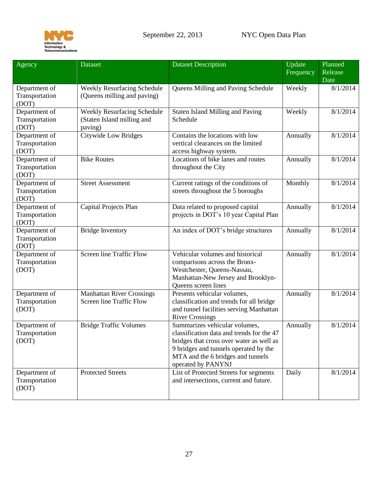

| Agency                                   | <b>Dataset</b>                                                       | <b>Dataset Description</b>                                                                                                                                                                                                 | Update<br>Frequency | Planned<br>Release |
|------------------------------------------|----------------------------------------------------------------------|----------------------------------------------------------------------------------------------------------------------------------------------------------------------------------------------------------------------------|---------------------|--------------------|
|                                          |                                                                      |                                                                                                                                                                                                                            |                     | Date               |
| Department of<br>Transportation<br>(DOT) | Weekly Resurfacing Schedule<br>(Queens milling and paving)           | Queens Milling and Paving Schedule                                                                                                                                                                                         | Weekly              | 8/1/2014           |
| Department of<br>Transportation<br>(DOT) | Weekly Resurfacing Schedule<br>(Staten Island milling and<br>paving) | <b>Staten Island Milling and Paving</b><br>Schedule                                                                                                                                                                        | Weekly              | 8/1/2014           |
| Department of<br>Transportation<br>(DOT) | Citywide Low Bridges                                                 | Contains the locations with low<br>vertical clearances on the limited<br>access highway system.                                                                                                                            | Annually            | 8/1/2014           |
| Department of<br>Transportation<br>(DOT) | <b>Bike Routes</b>                                                   | Locations of bike lanes and routes<br>throughout the City                                                                                                                                                                  | Annually            | 8/1/2014           |
| Department of<br>Transportation<br>(DOT) | <b>Street Assessment</b>                                             | Current ratings of the conditions of<br>streets throughout the 5 boroughs                                                                                                                                                  | Monthly             | 8/1/2014           |
| Department of<br>Transportation<br>(DOT) | Capital Projects Plan                                                | Data related to proposed capital<br>projects in DOT's 10 year Capital Plan                                                                                                                                                 | Annually            | 8/1/2014           |
| Department of<br>Transportation<br>(DOT) | <b>Bridge Inventory</b>                                              | An index of DOT's bridge structures                                                                                                                                                                                        | Annually            | 8/1/2014           |
| Department of<br>Transportation<br>(DOT) | <b>Screen line Traffic Flow</b>                                      | Vehicular volumes and historical<br>comparisons across the Bronx-<br>Westchester, Queens-Nassau,<br>Manhattan-New Jersey and Brooklyn-<br>Queens screen lines                                                              | Annually            | 8/1/2014           |
| Department of<br>Transportation<br>(DOT) | <b>Manhattan River Crossings</b><br><b>Screen line Traffic Flow</b>  | Presents vehicular volumes,<br>classification and trends for all bridge<br>and tunnel facilities serving Manhattan<br><b>River Crossings</b>                                                                               | Annually            | 8/1/2014           |
| Department of<br>Transportation<br>(DOT) | <b>Bridge Traffic Volumes</b>                                        | Summarizes vehicular volumes,<br>classification data and trends for the 47<br>bridges that cross over water as well as<br>9 bridges and tunnels operated by the<br>MTA and the 6 bridges and tunnels<br>operated by PANYNJ | Annually            | 8/1/2014           |
| Department of<br>Transportation<br>(DOT) | <b>Protected Streets</b>                                             | List of Protected Streets for segments<br>and intersections, current and future.                                                                                                                                           | Daily               | 8/1/2014           |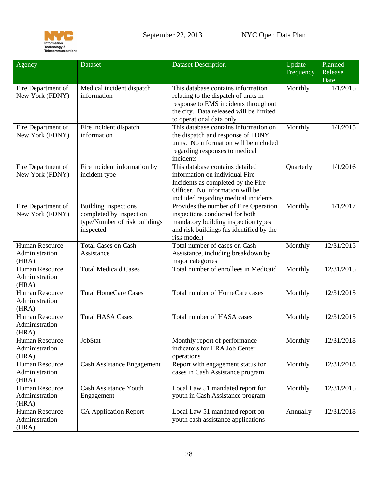

<span id="page-27-1"></span><span id="page-27-0"></span>

| Agency                                           | Dataset                                                                                       | <b>Dataset Description</b>                                                                                                                                                                | Update    | Planned         |
|--------------------------------------------------|-----------------------------------------------------------------------------------------------|-------------------------------------------------------------------------------------------------------------------------------------------------------------------------------------------|-----------|-----------------|
|                                                  |                                                                                               |                                                                                                                                                                                           | Frequency | Release<br>Date |
| Fire Department of<br>New York (FDNY)            | Medical incident dispatch<br>information                                                      | This database contains information<br>relating to the dispatch of units in<br>response to EMS incidents throughout<br>the city. Data released will be limited<br>to operational data only | Monthly   | 1/1/2015        |
| Fire Department of<br>New York (FDNY)            | Fire incident dispatch<br>information                                                         | This database contains information on<br>the dispatch and response of FDNY<br>units. No information will be included<br>regarding responses to medical<br>incidents                       | Monthly   | 1/1/2015        |
| Fire Department of<br>New York (FDNY)            | Fire incident information by<br>incident type                                                 | This database contains detailed<br>information on individual Fire<br>Incidents as completed by the Fire<br>Officer. No information will be<br>included regarding medical incidents        | Quarterly | 1/1/2016        |
| Fire Department of<br>New York (FDNY)            | Building inspections<br>completed by inspection<br>type/Number of risk buildings<br>inspected | Provides the number of Fire Operation<br>inspections conducted for both<br>mandatory building inspection types<br>and risk buildings (as identified by the<br>risk model)                 | Monthly   | 1/1/2017        |
| <b>Human Resource</b><br>Administration<br>(HRA) | <b>Total Cases on Cash</b><br>Assistance                                                      | Total number of cases on Cash<br>Assistance, including breakdown by<br>major categories                                                                                                   | Monthly   | 12/31/2015      |
| <b>Human Resource</b><br>Administration<br>(HRA) | <b>Total Medicaid Cases</b>                                                                   | Total number of enrollees in Medicaid                                                                                                                                                     | Monthly   | 12/31/2015      |
| <b>Human Resource</b><br>Administration<br>(HRA) | <b>Total HomeCare Cases</b>                                                                   | Total number of HomeCare cases                                                                                                                                                            | Monthly   | 12/31/2015      |
| <b>Human Resource</b><br>Administration<br>(HRA) | <b>Total HASA Cases</b>                                                                       | Total number of HASA cases                                                                                                                                                                | Monthly   | 12/31/2015      |
| Human Resource<br>Administration<br>(HRA)        | JobStat                                                                                       | Monthly report of performance<br>indicators for HRA Job Center<br>operations                                                                                                              | Monthly   | 12/31/2018      |
| Human Resource<br>Administration<br>(HRA)        | <b>Cash Assistance Engagement</b>                                                             | Report with engagement status for<br>cases in Cash Assistance program                                                                                                                     | Monthly   | 12/31/2018      |
| <b>Human Resource</b><br>Administration<br>(HRA) | <b>Cash Assistance Youth</b><br>Engagement                                                    | Local Law 51 mandated report for<br>youth in Cash Assistance program                                                                                                                      | Monthly   | 12/31/2015      |
| <b>Human Resource</b><br>Administration<br>(HRA) | <b>CA Application Report</b>                                                                  | Local Law 51 mandated report on<br>youth cash assistance applications                                                                                                                     | Annually  | 12/31/2018      |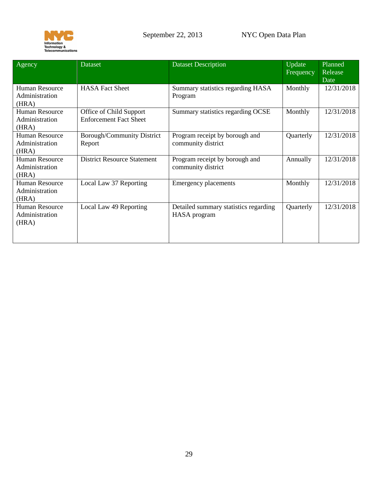

| Agency                                           | <b>Dataset</b>                                           | <b>Dataset Description</b>                            | Update<br>Frequency | Planned<br>Release<br>Date |
|--------------------------------------------------|----------------------------------------------------------|-------------------------------------------------------|---------------------|----------------------------|
| <b>Human Resource</b><br>Administration<br>(HRA) | <b>HASA Fact Sheet</b>                                   | Summary statistics regarding HASA<br>Program          | Monthly             | 12/31/2018                 |
| Human Resource<br>Administration<br>(HRA)        | Office of Child Support<br><b>Enforcement Fact Sheet</b> | Summary statistics regarding OCSE                     | Monthly             | 12/31/2018                 |
| Human Resource<br>Administration<br>(HRA)        | <b>Borough/Community District</b><br>Report              | Program receipt by borough and<br>community district  | Quarterly           | 12/31/2018                 |
| Human Resource<br>Administration<br>(HRA)        | <b>District Resource Statement</b>                       | Program receipt by borough and<br>community district  | Annually            | 12/31/2018                 |
| Human Resource<br>Administration<br>(HRA)        | Local Law 37 Reporting                                   | <b>Emergency placements</b>                           | Monthly             | 12/31/2018                 |
| <b>Human Resource</b><br>Administration<br>(HRA) | Local Law 49 Reporting                                   | Detailed summary statistics regarding<br>HASA program | Quarterly           | 12/31/2018                 |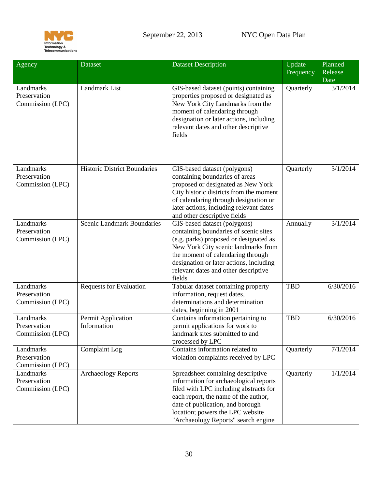

<span id="page-29-0"></span>

| Agency                                        | <b>Dataset</b>                      | <b>Dataset Description</b>                                                                                                                                                                                                                                                               | Update<br>Frequency | Planned<br>Release<br>Date |
|-----------------------------------------------|-------------------------------------|------------------------------------------------------------------------------------------------------------------------------------------------------------------------------------------------------------------------------------------------------------------------------------------|---------------------|----------------------------|
| Landmarks<br>Preservation<br>Commission (LPC) | Landmark List                       | GIS-based dataset (points) containing<br>properties proposed or designated as<br>New York City Landmarks from the<br>moment of calendaring through<br>designation or later actions, including<br>relevant dates and other descriptive<br>fields                                          | Quarterly           | 3/1/2014                   |
| Landmarks<br>Preservation<br>Commission (LPC) | <b>Historic District Boundaries</b> | GIS-based dataset (polygons)<br>containing boundaries of areas<br>proposed or designated as New York<br>City historic districts from the moment<br>of calendaring through designation or<br>later actions, including relevant dates<br>and other descriptive fields                      | Quarterly           | 3/1/2014                   |
| Landmarks<br>Preservation<br>Commission (LPC) | <b>Scenic Landmark Boundaries</b>   | GIS-based dataset (polygons)<br>containing boundaries of scenic sites<br>(e.g. parks) proposed or designated as<br>New York City scenic landmarks from<br>the moment of calendaring through<br>designation or later actions, including<br>relevant dates and other descriptive<br>fields | Annually            | 3/1/2014                   |
| Landmarks<br>Preservation<br>Commission (LPC) | <b>Requests for Evaluation</b>      | Tabular dataset containing property<br>information, request dates,<br>determinations and determination<br>dates, beginning in 2001                                                                                                                                                       | <b>TBD</b>          | 6/30/2016                  |
| Landmarks<br>Preservation<br>Commission (LPC) | Permit Application<br>Information   | Contains information pertaining to<br>permit applications for work to<br>landmark sites submitted to and<br>processed by LPC                                                                                                                                                             | <b>TBD</b>          | 6/30/2016                  |
| Landmarks<br>Preservation<br>Commission (LPC) | Complaint Log                       | Contains information related to<br>violation complaints received by LPC                                                                                                                                                                                                                  | Quarterly           | 7/1/2014                   |
| Landmarks<br>Preservation<br>Commission (LPC) | <b>Archaeology Reports</b>          | Spreadsheet containing descriptive<br>information for archaeological reports<br>filed with LPC including abstracts for<br>each report, the name of the author,<br>date of publication, and borough<br>location; powers the LPC website<br>"Archaeology Reports" search engine            | Quarterly           | 1/1/2014                   |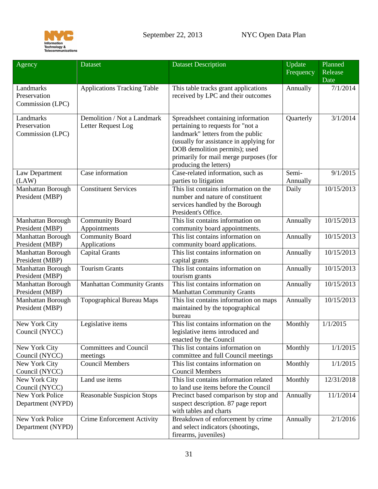

<span id="page-30-3"></span><span id="page-30-2"></span><span id="page-30-1"></span><span id="page-30-0"></span>

| Agency                                        | <b>Dataset</b>                                    | <b>Dataset Description</b>                                                                                                                                                                                                                                   | Update<br>Frequency | Planned<br>Release<br>Date |
|-----------------------------------------------|---------------------------------------------------|--------------------------------------------------------------------------------------------------------------------------------------------------------------------------------------------------------------------------------------------------------------|---------------------|----------------------------|
| Landmarks<br>Preservation<br>Commission (LPC) | <b>Applications Tracking Table</b>                | This table tracks grant applications<br>received by LPC and their outcomes                                                                                                                                                                                   | Annually            | 7/1/2014                   |
| Landmarks<br>Preservation<br>Commission (LPC) | Demolition / Not a Landmark<br>Letter Request Log | Spreadsheet containing information<br>pertaining to requests for "not a<br>landmark" letters from the public<br>(usually for assistance in applying for<br>DOB demolition permits); used<br>primarily for mail merge purposes (for<br>producing the letters) | Quarterly           | 3/1/2014                   |
| Law Department<br>(LAW)                       | Case information                                  | Case-related information, such as<br>parties to litigation                                                                                                                                                                                                   | Semi-<br>Annually   | 9/1/2015                   |
| Manhattan Borough<br>President (MBP)          | <b>Constituent Services</b>                       | This list contains information on the<br>number and nature of constituent<br>services handled by the Borough<br>President's Office.                                                                                                                          | Daily               | 10/15/2013                 |
| Manhattan Borough<br>President (MBP)          | <b>Community Board</b><br>Appointments            | This list contains information on<br>community board appointments.                                                                                                                                                                                           | Annually            | 10/15/2013                 |
| Manhattan Borough<br>President (MBP)          | <b>Community Board</b><br>Applications            | This list contains information on<br>community board applications.                                                                                                                                                                                           | Annually            | 10/15/2013                 |
| Manhattan Borough<br>President (MBP)          | <b>Capital Grants</b>                             | This list contains information on<br>capital grants                                                                                                                                                                                                          | Annually            | 10/15/2013                 |
| Manhattan Borough<br>President (MBP)          | <b>Tourism Grants</b>                             | This list contains information on<br>tourism grants                                                                                                                                                                                                          | Annually            | 10/15/2013                 |
| <b>Manhattan Borough</b><br>President (MBP)   | <b>Manhattan Community Grants</b>                 | This list contains information on<br><b>Manhattan Community Grants</b>                                                                                                                                                                                       | Annually            | 10/15/2013                 |
| Manhattan Borough<br>President (MBP)          | <b>Topographical Bureau Maps</b>                  | This list contains information on maps<br>maintained by the topographical<br>bureau                                                                                                                                                                          | Annually            | 10/15/2013                 |
| New York City<br>Council (NYCC)               | Legislative items                                 | This list contains information on the<br>legislative items introduced and<br>enacted by the Council                                                                                                                                                          | Monthly             | 1/1/2015                   |
| New York City<br>Council (NYCC)               | <b>Committees and Council</b><br>meetings         | This list contains information on<br>committee and full Council meetings                                                                                                                                                                                     | Monthly             | 1/1/2015                   |
| New York City<br>Council (NYCC)               | <b>Council Members</b>                            | This list contains information on<br><b>Council Members</b>                                                                                                                                                                                                  | Monthly             | 1/1/2015                   |
| New York City<br>Council (NYCC)               | Land use items                                    | This list contains information related<br>to land use items before the Council                                                                                                                                                                               | Monthly             | 12/31/2018                 |
| New York Police<br>Department (NYPD)          | <b>Reasonable Suspicion Stops</b>                 | Precinct based comparison by stop and<br>suspect description. 87 page report<br>with tables and charts                                                                                                                                                       | Annually            | 11/1/2014                  |
| New York Police<br>Department (NYPD)          | <b>Crime Enforcement Activity</b>                 | Breakdown of enforcement by crime<br>and select indicators (shootings,<br>firearms, juveniles)                                                                                                                                                               | Annually            | 2/1/2016                   |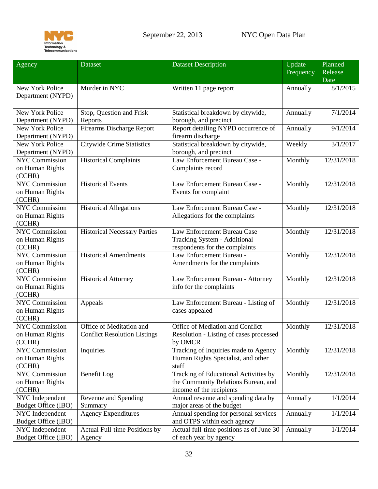

<span id="page-31-1"></span><span id="page-31-0"></span>

| Agency                 | Dataset                             | <b>Dataset Description</b>               | Update    | Planned    |
|------------------------|-------------------------------------|------------------------------------------|-----------|------------|
|                        |                                     |                                          | Frequency | Release    |
|                        |                                     |                                          |           | Date       |
| New York Police        | Murder in NYC                       | Written 11 page report                   | Annually  | 8/1/2015   |
| Department (NYPD)      |                                     |                                          |           |            |
|                        |                                     |                                          |           |            |
| New York Police        | Stop, Question and Frisk            | Statistical breakdown by citywide,       | Annually  | 7/1/2014   |
| Department (NYPD)      | Reports                             | borough, and precinct                    |           |            |
| <b>New York Police</b> | <b>Firearms Discharge Report</b>    | Report detailing NYPD occurrence of      | Annually  | 9/1/2014   |
| Department (NYPD)      |                                     | firearm discharge                        |           |            |
| <b>New York Police</b> | <b>Citywide Crime Statistics</b>    | Statistical breakdown by citywide,       | Weekly    | 3/1/2017   |
|                        |                                     |                                          |           |            |
| Department (NYPD)      |                                     | borough, and precinct                    |           |            |
| <b>NYC Commission</b>  | <b>Historical Complaints</b>        | Law Enforcement Bureau Case -            | Monthly   | 12/31/2018 |
| on Human Rights        |                                     | Complaints record                        |           |            |
| (CCHR)                 |                                     |                                          |           |            |
| <b>NYC Commission</b>  | <b>Historical Events</b>            | Law Enforcement Bureau Case -            | Monthly   | 12/31/2018 |
| on Human Rights        |                                     | Events for complaint                     |           |            |
| (CCHR)                 |                                     |                                          |           |            |
| <b>NYC Commission</b>  | <b>Historical Allegations</b>       | Law Enforcement Bureau Case -            | Monthly   | 12/31/2018 |
| on Human Rights        |                                     | Allegations for the complaints           |           |            |
| (CCHR)                 |                                     |                                          |           |            |
| <b>NYC Commission</b>  | <b>Historical Necessary Parties</b> | Law Enforcement Bureau Case              | Monthly   | 12/31/2018 |
| on Human Rights        |                                     | Tracking System - Additional             |           |            |
| (CCHR)                 |                                     | respondents for the complaints           |           |            |
| <b>NYC Commission</b>  | <b>Historical Amendments</b>        | Law Enforcement Bureau -                 | Monthly   | 12/31/2018 |
| on Human Rights        |                                     | Amendments for the complaints            |           |            |
| (CCHR)                 |                                     |                                          |           |            |
| <b>NYC Commission</b>  | <b>Historical Attorney</b>          | Law Enforcement Bureau - Attorney        | Monthly   | 12/31/2018 |
| on Human Rights        |                                     | info for the complaints                  |           |            |
| (CCHR)                 |                                     |                                          |           |            |
| <b>NYC Commission</b>  | Appeals                             | Law Enforcement Bureau - Listing of      | Monthly   | 12/31/2018 |
| on Human Rights        |                                     | cases appealed                           |           |            |
| (CCHR)                 |                                     |                                          |           |            |
| <b>NYC Commission</b>  | Office of Meditation and            | Office of Mediation and Conflict         | Monthly   | 12/31/2018 |
| on Human Rights        | <b>Conflict Resolution Listings</b> | Resolution - Listing of cases processed  |           |            |
| (CCHR)                 |                                     | by OMCR                                  |           |            |
| <b>NYC Commission</b>  | Inquiries                           | Tracking of Inquiries made to Agency     | Monthly   | 12/31/2018 |
| on Human Rights        |                                     | Human Rights Specialist, and other       |           |            |
| (CCHR)                 |                                     | staff                                    |           |            |
| <b>NYC Commission</b>  | Benefit Log                         | Tracking of Educational Activities by    | Monthly   | 12/31/2018 |
| on Human Rights        |                                     | the Community Relations Bureau, and      |           |            |
| (CCHR)                 |                                     | income of the recipients                 |           |            |
| NYC Independent        | Revenue and Spending                | Annual revenue and spending data by      | Annually  | 1/1/2014   |
| Budget Office (IBO)    | Summary                             | major areas of the budget                |           |            |
| NYC Independent        | <b>Agency Expenditures</b>          | Annual spending for personal services    | Annually  | 1/1/2014   |
| Budget Office (IBO)    |                                     | and OTPS within each agency              |           |            |
| NYC Independent        | Actual Full-time Positions by       | Actual full-time positions as of June 30 | Annually  | 1/1/2014   |
| Budget Office (IBO)    | Agency                              | of each year by agency                   |           |            |
|                        |                                     |                                          |           |            |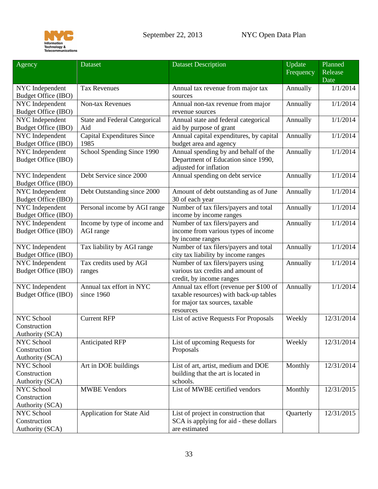

<span id="page-32-0"></span>

| Frequency                                                                                                                                               | Release    |
|---------------------------------------------------------------------------------------------------------------------------------------------------------|------------|
| Date                                                                                                                                                    |            |
| NYC Independent<br><b>Tax Revenues</b><br>Annually<br>Annual tax revenue from major tax                                                                 | 1/1/2014   |
| <b>Budget Office (IBO)</b><br>sources                                                                                                                   |            |
| NYC Independent<br><b>Non-tax Revenues</b><br>Annually<br>Annual non-tax revenue from major                                                             | 1/1/2014   |
| <b>Budget Office (IBO)</b><br>revenue sources                                                                                                           |            |
| NYC Independent<br><b>State and Federal Categorical</b><br>Annual state and federal categorical<br>Annually                                             | 1/1/2014   |
| Budget Office (IBO)<br>Aid<br>aid by purpose of grant                                                                                                   |            |
| <b>Capital Expenditures Since</b><br>Annual capital expenditures, by capital<br>NYC Independent<br>Annually                                             | 1/1/2014   |
| 1985<br>budget area and agency<br>Budget Office (IBO)                                                                                                   |            |
| School Spending Since 1990<br>Annual spending by and behalf of the<br>NYC Independent<br>Annually                                                       | 1/1/2014   |
| Budget Office (IBO)<br>Department of Education since 1990,<br>adjusted for inflation                                                                    |            |
| Annual spending on debt service<br>NYC Independent<br>Debt Service since 2000<br>Annually                                                               | 1/1/2014   |
| Budget Office (IBO)                                                                                                                                     |            |
| NYC Independent<br>Debt Outstanding since 2000<br>Amount of debt outstanding as of June<br>Annually                                                     | 1/1/2014   |
| <b>Budget Office (IBO)</b><br>30 of each year                                                                                                           |            |
| Number of tax filers/payers and total<br>NYC Independent<br>Personal income by AGI range<br>Annually                                                    | 1/1/2014   |
| <b>Budget Office (IBO)</b><br>income by income ranges                                                                                                   |            |
| NYC Independent<br>Income by type of income and<br>Number of tax filers/payers and<br>Annually                                                          | 1/1/2014   |
| <b>Budget Office (IBO)</b><br>income from various types of income<br>AGI range                                                                          |            |
| by income ranges                                                                                                                                        |            |
| Number of tax filers/payers and total<br>NYC Independent<br>Tax liability by AGI range<br>Annually                                                      | 1/1/2014   |
| Budget Office (IBO)<br>city tax liability by income ranges                                                                                              |            |
| NYC Independent<br>Tax credits used by AGI<br>Number of tax filers/payers using<br>Annually<br>various tax credits and amount of                        | 1/1/2014   |
| Budget Office (IBO)<br>ranges                                                                                                                           |            |
| credit, by income ranges<br>Annual tax effort (revenue per \$100 of<br>Annual tax effort in NYC<br>NYC Independent<br>Annually                          | 1/1/2014   |
| Budget Office (IBO)<br>taxable resources) with back-up tables<br>since 1960                                                                             |            |
| for major tax sources, taxable                                                                                                                          |            |
| resources                                                                                                                                               |            |
| NYC School<br><b>Current RFP</b><br>List of active Requests For Proposals<br>Weekly                                                                     | 12/31/2014 |
| Construction                                                                                                                                            |            |
| Authority (SCA)                                                                                                                                         |            |
| <b>Anticipated RFP</b><br>List of upcoming Requests for<br>Weekly<br>NYC School                                                                         | 12/31/2014 |
| Construction<br>Proposals                                                                                                                               |            |
| Authority (SCA)                                                                                                                                         |            |
| Art in DOE buildings<br>NYC School<br>List of art, artist, medium and DOE<br>Monthly                                                                    | 12/31/2014 |
| Construction<br>building that the art is located in                                                                                                     |            |
| Authority (SCA)<br>schools.                                                                                                                             |            |
| List of MWBE certified vendors<br>NYC School<br><b>MWBE Vendors</b><br>Monthly                                                                          | 12/31/2015 |
| Construction                                                                                                                                            |            |
| Authority (SCA)                                                                                                                                         |            |
| NYC School<br>Application for State Aid<br>List of project in construction that<br>Quarterly<br>Construction<br>SCA is applying for aid - these dollars | 12/31/2015 |
| are estimated<br>Authority (SCA)                                                                                                                        |            |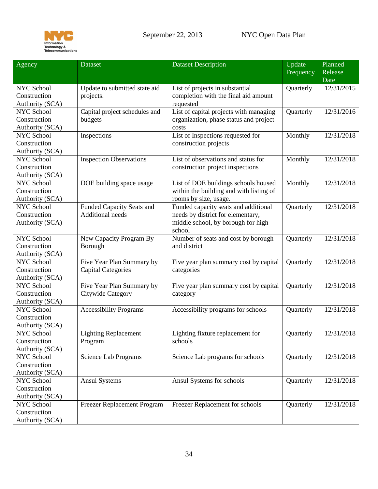

| Agency                               | <b>Dataset</b>                                 | <b>Dataset Description</b>              | Update<br>Frequency | Planned<br>Release |
|--------------------------------------|------------------------------------------------|-----------------------------------------|---------------------|--------------------|
|                                      |                                                |                                         |                     | Date               |
| NYC School                           | Update to submitted state aid                  | List of projects in substantial         | Quarterly           | 12/31/2015         |
| Construction                         | projects.                                      | completion with the final aid amount    |                     |                    |
| Authority (SCA)                      |                                                | requested                               |                     |                    |
| <b>NYC School</b>                    | Capital project schedules and                  | List of capital projects with managing  | Quarterly           | 12/31/2016         |
| Construction                         | budgets                                        | organization, phase status and project  |                     |                    |
| Authority (SCA)                      |                                                | costs                                   |                     |                    |
| <b>NYC School</b>                    | Inspections                                    | List of Inspections requested for       | Monthly             | 12/31/2018         |
| Construction                         |                                                | construction projects                   |                     |                    |
| Authority (SCA)                      |                                                |                                         |                     |                    |
| <b>NYC School</b>                    | <b>Inspection Observations</b>                 | List of observations and status for     | Monthly             | 12/31/2018         |
| Construction                         |                                                | construction project inspections        |                     |                    |
| Authority (SCA)                      |                                                |                                         |                     |                    |
| <b>NYC School</b>                    | DOE building space usage                       | List of DOE buildings schools housed    | Monthly             | 12/31/2018         |
| Construction                         |                                                | within the building and with listing of |                     |                    |
| Authority (SCA)                      |                                                | rooms by size, usage.                   |                     |                    |
| <b>NYC School</b>                    | <b>Funded Capacity Seats and</b>               | Funded capacity seats and additional    | Quarterly           | 12/31/2018         |
| Construction                         | <b>Additional needs</b>                        | needs by district for elementary,       |                     |                    |
| Authority (SCA)                      |                                                | middle school, by borough for high      |                     |                    |
|                                      |                                                | school                                  |                     |                    |
| <b>NYC School</b>                    | New Capacity Program By                        | Number of seats and cost by borough     | Quarterly           | 12/31/2018         |
| Construction                         | Borough                                        | and district                            |                     |                    |
| Authority (SCA)                      |                                                |                                         |                     |                    |
| <b>NYC School</b>                    | Five Year Plan Summary by                      | Five year plan summary cost by capital  | Quarterly           | 12/31/2018         |
| Construction                         | <b>Capital Categories</b>                      | categories                              |                     |                    |
| Authority (SCA)<br><b>NYC School</b> |                                                |                                         | Quarterly           | 12/31/2018         |
| Construction                         | Five Year Plan Summary by<br>Citywide Category | Five year plan summary cost by capital  |                     |                    |
| Authority (SCA)                      |                                                | category                                |                     |                    |
| <b>NYC School</b>                    | <b>Accessibility Programs</b>                  | Accessibility programs for schools      | Quarterly           | 12/31/2018         |
| Construction                         |                                                |                                         |                     |                    |
| Authority (SCA)                      |                                                |                                         |                     |                    |
| NYC School                           | <b>Lighting Replacement</b>                    | Lighting fixture replacement for        | Quarterly           | 12/31/2018         |
| Construction                         | Program                                        | schools                                 |                     |                    |
| Authority (SCA)                      |                                                |                                         |                     |                    |
| NYC School                           | Science Lab Programs                           | Science Lab programs for schools        | Quarterly           | 12/31/2018         |
| Construction                         |                                                |                                         |                     |                    |
| Authority (SCA)                      |                                                |                                         |                     |                    |
| NYC School                           | <b>Ansul Systems</b>                           | Ansul Systems for schools               | Quarterly           | 12/31/2018         |
| Construction                         |                                                |                                         |                     |                    |
| Authority (SCA)                      |                                                |                                         |                     |                    |
| NYC School                           | Freezer Replacement Program                    | Freezer Replacement for schools         | Quarterly           | 12/31/2018         |
| Construction                         |                                                |                                         |                     |                    |
| Authority (SCA)                      |                                                |                                         |                     |                    |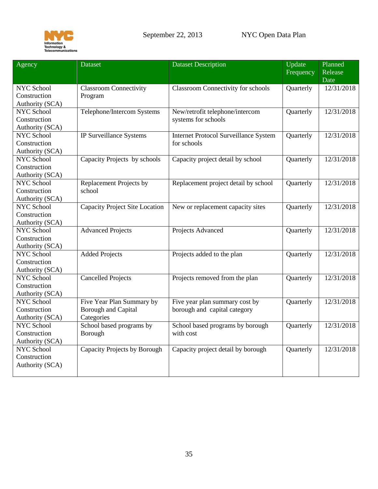

| Agency            | <b>Dataset</b>                        | <b>Dataset Description</b>                   | Update    | Planned    |
|-------------------|---------------------------------------|----------------------------------------------|-----------|------------|
|                   |                                       |                                              | Frequency | Release    |
|                   |                                       |                                              |           | Date       |
| NYC School        | <b>Classroom Connectivity</b>         | <b>Classroom Connectivity for schools</b>    | Quarterly | 12/31/2018 |
| Construction      | Program                               |                                              |           |            |
| Authority (SCA)   |                                       |                                              |           |            |
| <b>NYC School</b> | Telephone/Intercom Systems            | New/retrofit telephone/intercom              | Quarterly | 12/31/2018 |
| Construction      |                                       | systems for schools                          |           |            |
| Authority (SCA)   |                                       |                                              |           |            |
| <b>NYC School</b> | IP Surveillance Systems               | <b>Internet Protocol Surveillance System</b> | Quarterly | 12/31/2018 |
| Construction      |                                       | for schools                                  |           |            |
| Authority (SCA)   |                                       |                                              |           |            |
| <b>NYC School</b> | Capacity Projects by schools          | Capacity project detail by school            | Quarterly | 12/31/2018 |
| Construction      |                                       |                                              |           |            |
| Authority (SCA)   |                                       |                                              |           |            |
| NYC School        | Replacement Projects by               | Replacement project detail by school         | Quarterly | 12/31/2018 |
| Construction      | school                                |                                              |           |            |
| Authority (SCA)   |                                       |                                              |           |            |
| NYC School        | <b>Capacity Project Site Location</b> | New or replacement capacity sites            | Quarterly | 12/31/2018 |
| Construction      |                                       |                                              |           |            |
| Authority (SCA)   |                                       |                                              |           |            |
| <b>NYC School</b> | <b>Advanced Projects</b>              | Projects Advanced                            | Quarterly | 12/31/2018 |
| Construction      |                                       |                                              |           |            |
| Authority (SCA)   |                                       |                                              |           |            |
| <b>NYC School</b> | <b>Added Projects</b>                 | Projects added to the plan                   | Quarterly | 12/31/2018 |
| Construction      |                                       |                                              |           |            |
| Authority (SCA)   |                                       |                                              |           |            |
| <b>NYC School</b> | <b>Cancelled Projects</b>             | Projects removed from the plan               | Quarterly | 12/31/2018 |
| Construction      |                                       |                                              |           |            |
| Authority (SCA)   |                                       |                                              |           |            |
| <b>NYC School</b> | Five Year Plan Summary by             | Five year plan summary cost by               | Quarterly | 12/31/2018 |
| Construction      | <b>Borough and Capital</b>            | borough and capital category                 |           |            |
| Authority (SCA)   | Categories                            |                                              |           |            |
| <b>NYC School</b> | School based programs by              | School based programs by borough             | Quarterly | 12/31/2018 |
| Construction      | Borough                               | with cost                                    |           |            |
| Authority (SCA)   |                                       |                                              |           |            |
| <b>NYC School</b> | Capacity Projects by Borough          | Capacity project detail by borough           | Quarterly | 12/31/2018 |
| Construction      |                                       |                                              |           |            |
| Authority (SCA)   |                                       |                                              |           |            |
|                   |                                       |                                              |           |            |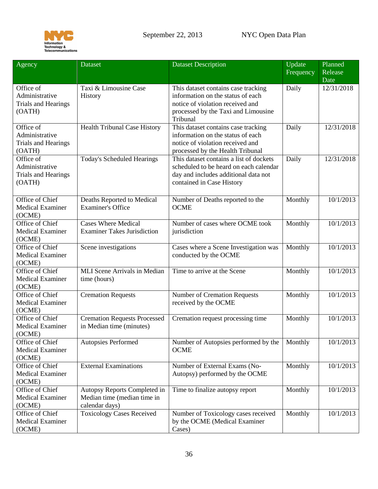

<span id="page-35-1"></span><span id="page-35-0"></span>

| Agency                                                                | Dataset                                                                       | <b>Dataset Description</b>                                                                                                                                      | Update<br>Frequency | Planned<br>Release<br>Date |
|-----------------------------------------------------------------------|-------------------------------------------------------------------------------|-----------------------------------------------------------------------------------------------------------------------------------------------------------------|---------------------|----------------------------|
| Office of<br>Administrative<br><b>Trials and Hearings</b><br>(OATH)   | Taxi & Limousine Case<br>History                                              | This dataset contains case tracking<br>information on the status of each<br>notice of violation received and<br>processed by the Taxi and Limousine<br>Tribunal | Daily               | 12/31/2018                 |
| Office of<br>Administrative<br><b>Trials and Hearings</b><br>(OATH)   | <b>Health Tribunal Case History</b>                                           | This dataset contains case tracking<br>information on the status of each<br>notice of violation received and<br>processed by the Health Tribunal                | Daily               | 12/31/2018                 |
| Office $of$<br>Administrative<br><b>Trials and Hearings</b><br>(OATH) | <b>Today's Scheduled Hearings</b>                                             | This dataset contains a list of dockets<br>scheduled to be heard on each calendar<br>day and includes additional data not<br>contained in Case History          | Daily               | 12/31/2018                 |
| Office of Chief<br><b>Medical Examiner</b><br>(OCME)                  | Deaths Reported to Medical<br><b>Examiner's Office</b>                        | Number of Deaths reported to the<br><b>OCME</b>                                                                                                                 | Monthly             | 10/1/2013                  |
| Office of Chief<br><b>Medical Examiner</b><br>(OCME)                  | <b>Cases Where Medical</b><br><b>Examiner Takes Jurisdiction</b>              | Number of cases where OCME took<br>jurisdiction                                                                                                                 | Monthly             | 10/1/2013                  |
| Office of Chief<br><b>Medical Examiner</b><br>(OCME)                  | Scene investigations                                                          | Cases where a Scene Investigation was<br>conducted by the OCME                                                                                                  | Monthly             | 10/1/2013                  |
| Office of Chief<br><b>Medical Examiner</b><br>(OCME)                  | <b>MLI</b> Scene Arrivals in Median<br>time (hours)                           | Time to arrive at the Scene                                                                                                                                     | Monthly             | 10/1/2013                  |
| Office of Chief<br><b>Medical Examiner</b><br>(OCME)                  | <b>Cremation Requests</b>                                                     | <b>Number of Cremation Requests</b><br>received by the OCME                                                                                                     | Monthly             | 10/1/2013                  |
| Office of Chief<br><b>Medical Examiner</b><br>(OCME)                  | <b>Cremation Requests Processed</b><br>in Median time (minutes)               | Cremation request processing time                                                                                                                               | Monthly             | 10/1/2013                  |
| Office of Chief<br><b>Medical Examiner</b><br>(OCME)                  | <b>Autopsies Performed</b>                                                    | Number of Autopsies performed by the<br><b>OCME</b>                                                                                                             | Monthly             | 10/1/2013                  |
| Office of Chief<br><b>Medical Examiner</b><br>(OCME)                  | <b>External Examinations</b>                                                  | Number of External Exams (No-<br>Autopsy) performed by the OCME                                                                                                 | Monthly             | 10/1/2013                  |
| Office of Chief<br><b>Medical Examiner</b><br>(OCME)                  | Autopsy Reports Completed in<br>Median time (median time in<br>calendar days) | Time to finalize autopsy report                                                                                                                                 | Monthly             | 10/1/2013                  |
| Office of Chief<br><b>Medical Examiner</b><br>(OCME)                  | <b>Toxicology Cases Received</b>                                              | Number of Toxicology cases received<br>by the OCME (Medical Examiner<br>Cases)                                                                                  | Monthly             | 10/1/2013                  |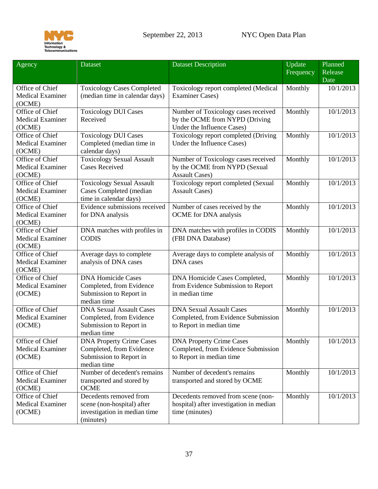

| Agency                                               | Dataset                                                                                               | <b>Dataset Description</b>                                                                          | <b>Update</b><br>Frequency | Planned<br>Release |
|------------------------------------------------------|-------------------------------------------------------------------------------------------------------|-----------------------------------------------------------------------------------------------------|----------------------------|--------------------|
| Office of Chief<br><b>Medical Examiner</b><br>(OCME) | <b>Toxicology Cases Completed</b><br>(median time in calendar days)                                   | Toxicology report completed (Medical<br><b>Examiner Cases)</b>                                      | Monthly                    | Date<br>10/1/2013  |
| Office of Chief<br><b>Medical Examiner</b><br>(OCME) | <b>Toxicology DUI Cases</b><br>Received                                                               | Number of Toxicology cases received<br>by the OCME from NYPD (Driving<br>Under the Influence Cases) | Monthly                    | 10/1/2013          |
| Office of Chief<br><b>Medical Examiner</b><br>(OCME) | <b>Toxicology DUI Cases</b><br>Completed (median time in<br>calendar days)                            | Toxicology report completed (Driving<br>Under the Influence Cases)                                  | Monthly                    | 10/1/2013          |
| Office of Chief<br><b>Medical Examiner</b><br>(OCME) | <b>Toxicology Sexual Assault</b><br><b>Cases Received</b>                                             | Number of Toxicology cases received<br>by the OCME from NYPD (Sexual<br><b>Assault Cases)</b>       | Monthly                    | 10/1/2013          |
| Office of Chief<br><b>Medical Examiner</b><br>(OCME) | <b>Toxicology Sexual Assault</b><br>Cases Completed (median<br>time in calendar days)                 | Toxicology report completed (Sexual<br><b>Assault Cases)</b>                                        | Monthly                    | 10/1/2013          |
| Office of Chief<br><b>Medical Examiner</b><br>(OCME) | Evidence submissions received<br>for DNA analysis                                                     | Number of cases received by the<br><b>OCME</b> for DNA analysis                                     | Monthly                    | 10/1/2013          |
| Office of Chief<br><b>Medical Examiner</b><br>(OCME) | DNA matches with profiles in<br><b>CODIS</b>                                                          | DNA matches with profiles in CODIS<br>(FBI DNA Database)                                            | Monthly                    | 10/1/2013          |
| Office of Chief<br><b>Medical Examiner</b><br>(OCME) | Average days to complete<br>analysis of DNA cases                                                     | Average days to complete analysis of<br><b>DNA</b> cases                                            | Monthly                    | 10/1/2013          |
| Office of Chief<br><b>Medical Examiner</b><br>(OCME) | <b>DNA Homicide Cases</b><br>Completed, from Evidence<br>Submission to Report in<br>median time       | DNA Homicide Cases Completed,<br>from Evidence Submission to Report<br>in median time               | Monthly                    | 10/1/2013          |
| Office of Chief<br><b>Medical Examiner</b><br>(OCME) | <b>DNA Sexual Assault Cases</b><br>Completed, from Evidence<br>Submission to Report in<br>median time | <b>DNA Sexual Assault Cases</b><br>Completed, from Evidence Submission<br>to Report in median time  | Monthly                    | 10/1/2013          |
| Office of Chief<br><b>Medical Examiner</b><br>(OCME) | <b>DNA Property Crime Cases</b><br>Completed, from Evidence<br>Submission to Report in<br>median time | <b>DNA Property Crime Cases</b><br>Completed, from Evidence Submission<br>to Report in median time  | Monthly                    | 10/1/2013          |
| Office of Chief<br><b>Medical Examiner</b><br>(OCME) | Number of decedent's remains<br>transported and stored by<br><b>OCME</b>                              | Number of decedent's remains<br>transported and stored by OCME                                      | Monthly                    | 10/1/2013          |
| Office of Chief<br><b>Medical Examiner</b><br>(OCME) | Decedents removed from<br>scene (non-hospital) after<br>investigation in median time<br>(minutes)     | Decedents removed from scene (non-<br>hospital) after investigation in median<br>time (minutes)     | Monthly                    | 10/1/2013          |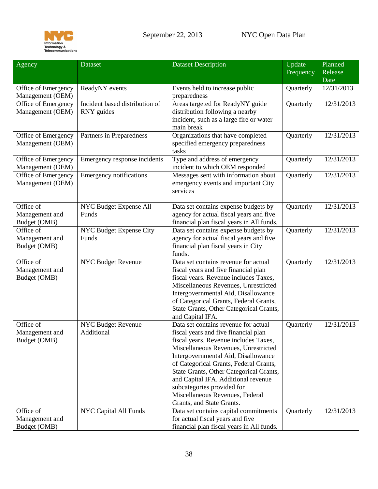

<span id="page-37-1"></span><span id="page-37-0"></span>

| Agency                                      | <b>Dataset</b>                               | <b>Dataset Description</b>                                                                                                                                                                                                                                                                                                                                                                                                     | Update<br>Frequency | Planned<br>Release<br>Date |
|---------------------------------------------|----------------------------------------------|--------------------------------------------------------------------------------------------------------------------------------------------------------------------------------------------------------------------------------------------------------------------------------------------------------------------------------------------------------------------------------------------------------------------------------|---------------------|----------------------------|
| Office of Emergency<br>Management (OEM)     | ReadyNY events                               | Events held to increase public<br>preparedness                                                                                                                                                                                                                                                                                                                                                                                 | Quarterly           | 12/31/2013                 |
| Office of Emergency<br>Management (OEM)     | Incident based distribution of<br>RNY guides | Areas targeted for ReadyNY guide<br>distribution following a nearby<br>incident, such as a large fire or water<br>main break                                                                                                                                                                                                                                                                                                   | Quarterly           | 12/31/2013                 |
| Office of Emergency<br>Management (OEM)     | Partners in Preparedness                     | Organizations that have completed<br>specified emergency preparedness<br>tasks                                                                                                                                                                                                                                                                                                                                                 | Quarterly           | 12/31/2013                 |
| Office of Emergency<br>Management (OEM)     | Emergency response incidents                 | Type and address of emergency<br>incident to which OEM responded                                                                                                                                                                                                                                                                                                                                                               | Quarterly           | 12/31/2013                 |
| Office of Emergency<br>Management (OEM)     | <b>Emergency notifications</b>               | Messages sent with information about<br>emergency events and important City<br>services                                                                                                                                                                                                                                                                                                                                        | Quarterly           | 12/31/2013                 |
| Office of<br>Management and<br>Budget (OMB) | NYC Budget Expense All<br>Funds              | Data set contains expense budgets by<br>agency for actual fiscal years and five<br>financial plan fiscal years in All funds.                                                                                                                                                                                                                                                                                                   | Quarterly           | 12/31/2013                 |
| Office of<br>Management and<br>Budget (OMB) | NYC Budget Expense City<br>Funds             | Data set contains expense budgets by<br>agency for actual fiscal years and five<br>financial plan fiscal years in City<br>funds.                                                                                                                                                                                                                                                                                               | Quarterly           | 12/31/2013                 |
| Office of<br>Management and<br>Budget (OMB) | <b>NYC Budget Revenue</b>                    | Data set contains revenue for actual<br>fiscal years and five financial plan<br>fiscal years. Revenue includes Taxes,<br>Miscellaneous Revenues, Unrestricted<br>Intergovernmental Aid, Disallowance<br>of Categorical Grants, Federal Grants,<br>State Grants, Other Categorical Grants,<br>and Capital IFA.                                                                                                                  | Quarterly           | 12/31/2013                 |
| Office of<br>Management and<br>Budget (OMB) | <b>NYC Budget Revenue</b><br>Additional      | Data set contains revenue for actual<br>fiscal years and five financial plan<br>fiscal years. Revenue includes Taxes,<br>Miscellaneous Revenues, Unrestricted<br>Intergovernmental Aid, Disallowance<br>of Categorical Grants, Federal Grants,<br>State Grants, Other Categorical Grants,<br>and Capital IFA. Additional revenue<br>subcategories provided for<br>Miscellaneous Revenues, Federal<br>Grants, and State Grants. | Quarterly           | 12/31/2013                 |
| Office of<br>Management and<br>Budget (OMB) | NYC Capital All Funds                        | Data set contains capital commitments<br>for actual fiscal years and five<br>financial plan fiscal years in All funds.                                                                                                                                                                                                                                                                                                         | Quarterly           | 12/31/2013                 |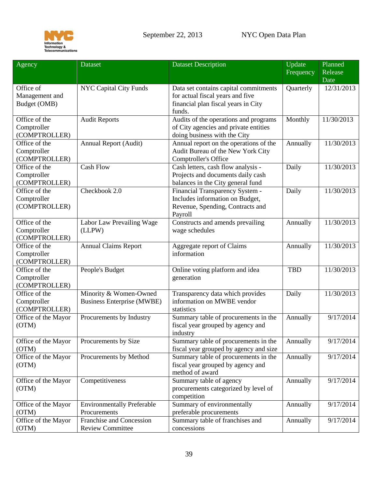

<span id="page-38-1"></span><span id="page-38-0"></span>

| Agency                                        | <b>Dataset</b>                                              | <b>Dataset Description</b>                                                                                                 | Update<br>Frequency | Planned<br>Release |
|-----------------------------------------------|-------------------------------------------------------------|----------------------------------------------------------------------------------------------------------------------------|---------------------|--------------------|
|                                               |                                                             |                                                                                                                            |                     | Date               |
| Office of<br>Management and<br>Budget (OMB)   | <b>NYC Capital City Funds</b>                               | Data set contains capital commitments<br>for actual fiscal years and five<br>financial plan fiscal years in City<br>funds. | Quarterly           | 12/31/2013         |
| Office of the<br>Comptroller<br>(COMPTROLLER) | <b>Audit Reports</b>                                        | Audits of the operations and programs<br>of City agencies and private entities<br>doing business with the City             | Monthly             | 11/30/2013         |
| Office of the<br>Comptroller<br>(COMPTROLLER) | Annual Report (Audit)                                       | Annual report on the operations of the<br>Audit Bureau of the New York City<br>Comptroller's Office                        | Annually            | 11/30/2013         |
| Office of the<br>Comptroller<br>(COMPTROLLER) | <b>Cash Flow</b>                                            | Cash letters, cash flow analysis -<br>Projects and documents daily cash<br>balances in the City general fund               | Daily               | 11/30/2013         |
| Office of the<br>Comptroller<br>(COMPTROLLER) | Checkbook 2.0                                               | Financial Transparency System -<br>Includes information on Budget,<br>Revenue, Spending, Contracts and<br>Payroll          | Daily               | 11/30/2013         |
| Office of the<br>Comptroller<br>(COMPTROLLER) | Labor Law Prevailing Wage<br>(LLPW)                         | Constructs and amends prevailing<br>wage schedules                                                                         | Annually            | 11/30/2013         |
| Office of the<br>Comptroller<br>(COMPTROLLER) | <b>Annual Claims Report</b>                                 | Aggregate report of Claims<br>information                                                                                  | Annually            | 11/30/2013         |
| Office of the<br>Comptroller<br>(COMPTROLLER) | People's Budget                                             | Online voting platform and idea<br>generation                                                                              | <b>TBD</b>          | 11/30/2013         |
| Office of the<br>Comptroller<br>(COMPTROLLER) | Minority & Women-Owned<br><b>Business Enterprise (MWBE)</b> | Transparency data which provides<br>information on MWBE vendor<br>statistics                                               | Daily               | 11/30/2013         |
| Office of the Mayor<br>(OTM)                  | Procurements by Industry                                    | Summary table of procurements in the<br>fiscal year grouped by agency and<br>industry                                      | Annually            | 9/17/2014          |
| Office of the Mayor<br>(OTM)                  | Procurements by Size                                        | Summary table of procurements in the<br>fiscal year grouped by agency and size                                             | Annually            | 9/17/2014          |
| Office of the Mayor<br>(OTM)                  | Procurements by Method                                      | Summary table of procurements in the<br>fiscal year grouped by agency and<br>method of award                               | Annually            | 9/17/2014          |
| Office of the Mayor<br>(OTM)                  | Competitiveness                                             | Summary table of agency<br>procurements categorized by level of<br>competition                                             | Annually            | 9/17/2014          |
| Office of the Mayor<br>(OTM)                  | <b>Environmentally Preferable</b><br>Procurements           | Summary of environmentally<br>preferable procurements                                                                      | Annually            | 9/17/2014          |
| Office of the Mayor<br>(OTM)                  | Franchise and Concession<br><b>Review Committee</b>         | Summary table of franchises and<br>concessions                                                                             | Annually            | 9/17/2014          |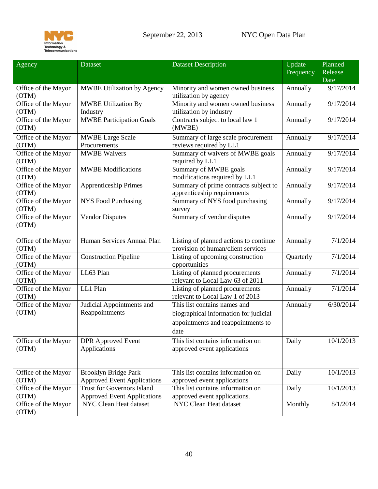

| Agency                       | <b>Dataset</b>                     | <b>Dataset Description</b>                                          | Update<br>Frequency | Planned<br>Release |
|------------------------------|------------------------------------|---------------------------------------------------------------------|---------------------|--------------------|
|                              |                                    |                                                                     |                     | Date               |
| Office of the Mayor          | <b>MWBE Utilization by Agency</b>  | Minority and women owned business                                   | Annually            | 9/17/2014          |
| (OTM)                        |                                    | utilization by agency                                               |                     |                    |
| Office of the Mayor          | <b>MWBE Utilization By</b>         | Minority and women owned business                                   | Annually            | 9/17/2014          |
| (OTM)                        | Industry                           | utilization by industry                                             |                     |                    |
| Office of the Mayor<br>(OTM) | <b>MWBE Participation Goals</b>    | Contracts subject to local law 1<br>(MWBE)                          | Annually            | 9/17/2014          |
| Office of the Mayor          | <b>MWBE Large Scale</b>            | Summary of large scale procurement                                  | Annually            | 9/17/2014          |
| (OTM)                        | Procurements                       | reviews required by LL1                                             |                     |                    |
| Office of the Mayor<br>(OTM) | <b>MWBE Waivers</b>                | Summary of waivers of MWBE goals<br>required by LL1                 | Annually            | 9/17/2014          |
| Office of the Mayor<br>(OTM) | <b>MWBE</b> Modifications          | Summary of MWBE goals<br>modifications required by LL1              | Annually            | 9/17/2014          |
| Office of the Mayor          | <b>Apprenticeship Primes</b>       | Summary of prime contracts subject to                               | Annually            | 9/17/2014          |
| (OTM)                        |                                    | apprenticeship requirements                                         |                     |                    |
| Office of the Mayor          | <b>NYS Food Purchasing</b>         | Summary of NYS food purchasing                                      | Annually            | 9/17/2014          |
| (OTM)                        |                                    | survey                                                              |                     |                    |
| Office of the Mayor<br>(OTM) | <b>Vendor Disputes</b>             | Summary of vendor disputes                                          | Annually            | 9/17/2014          |
| Office of the Mayor          | Human Services Annual Plan         | Listing of planned actions to continue                              | Annually            | 7/1/2014           |
| (OTM)                        |                                    | provision of human/client services                                  |                     |                    |
| Office of the Mayor<br>(OTM) | <b>Construction Pipeline</b>       | Listing of upcoming construction<br>opportunities                   | Quarterly           | 7/1/2014           |
| Office of the Mayor<br>(OTM) | LL63 Plan                          | Listing of planned procurements<br>relevant to Local Law 63 of 2011 | Annually            | 7/1/2014           |
| Office of the Mayor<br>(OTM) | LL1 Plan                           | Listing of planned procurements<br>relevant to Local Law 1 of 2013  | Annually            | 7/1/2014           |
| Office of the Mayor          | Judicial Appointments and          | This list contains names and                                        | Annually            | 6/30/2014          |
| (OTM)                        | Reappointments                     | biographical information for judicial                               |                     |                    |
|                              |                                    | appointments and reappointments to                                  |                     |                    |
|                              |                                    | date                                                                |                     |                    |
| Office of the Mayor          | <b>DPR</b> Approved Event          | This list contains information on                                   | Daily               | 10/1/2013          |
| (OTM)                        | Applications                       | approved event applications                                         |                     |                    |
|                              |                                    |                                                                     |                     |                    |
| Office of the Mayor          | <b>Brooklyn Bridge Park</b>        | This list contains information on                                   | Daily               | 10/1/2013          |
| (OTM)                        | <b>Approved Event Applications</b> | approved event applications                                         |                     |                    |
| Office of the Mayor          | <b>Trust for Governors Island</b>  | This list contains information on                                   | Daily               | 10/1/2013          |
| (OTM)                        | <b>Approved Event Applications</b> | approved event applications.                                        |                     |                    |
| Office of the Mayor          | NYC Clean Heat dataset             | NYC Clean Heat dataset                                              | Monthly             | 8/1/2014           |
| (OTM)                        |                                    |                                                                     |                     |                    |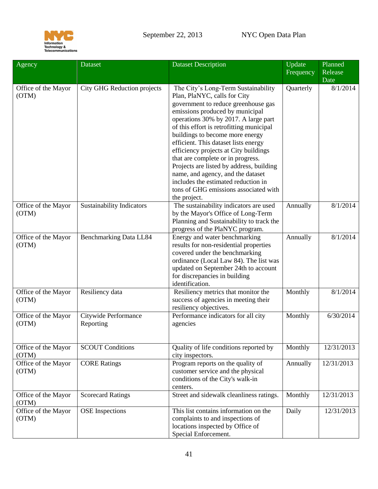

| Agency                       | Dataset                           | <b>Dataset Description</b>                                                                                                                                                                                                                                                                                                                                                                                                                                                                                                                                                  | Update    | Planned    |
|------------------------------|-----------------------------------|-----------------------------------------------------------------------------------------------------------------------------------------------------------------------------------------------------------------------------------------------------------------------------------------------------------------------------------------------------------------------------------------------------------------------------------------------------------------------------------------------------------------------------------------------------------------------------|-----------|------------|
|                              |                                   |                                                                                                                                                                                                                                                                                                                                                                                                                                                                                                                                                                             | Frequency | Release    |
|                              |                                   |                                                                                                                                                                                                                                                                                                                                                                                                                                                                                                                                                                             |           | Date       |
| Office of the Mayor<br>(OTM) | City GHG Reduction projects       | The City's Long-Term Sustainability<br>Plan, PlaNYC, calls for City<br>government to reduce greenhouse gas<br>emissions produced by municipal<br>operations 30% by 2017. A large part<br>of this effort is retrofitting municipal<br>buildings to become more energy<br>efficient. This dataset lists energy<br>efficiency projects at City buildings<br>that are complete or in progress.<br>Projects are listed by address, building<br>name, and agency, and the dataset<br>includes the estimated reduction in<br>tons of GHG emissions associated with<br>the project. | Quarterly | 8/1/2014   |
| Office of the Mayor<br>(OTM) | <b>Sustainability Indicators</b>  | The sustainability indicators are used<br>by the Mayor's Office of Long-Term<br>Planning and Sustainability to track the<br>progress of the PlaNYC program.                                                                                                                                                                                                                                                                                                                                                                                                                 | Annually  | 8/1/2014   |
| Office of the Mayor<br>(OTM) | <b>Benchmarking Data LL84</b>     | Energy and water benchmarking<br>results for non-residential properties<br>covered under the benchmarking<br>ordinance (Local Law 84). The list was<br>updated on September 24th to account<br>for discrepancies in building<br>identification.                                                                                                                                                                                                                                                                                                                             | Annually  | 8/1/2014   |
| Office of the Mayor<br>(OTM) | Resiliency data                   | Resiliency metrics that monitor the<br>success of agencies in meeting their<br>resiliency objectives.                                                                                                                                                                                                                                                                                                                                                                                                                                                                       | Monthly   | 8/1/2014   |
| Office of the Mayor<br>(OTM) | Citywide Performance<br>Reporting | Performance indicators for all city<br>agencies                                                                                                                                                                                                                                                                                                                                                                                                                                                                                                                             | Monthly   | 6/30/2014  |
| Office of the Mayor<br>(OTM) | <b>SCOUT Conditions</b>           | Quality of life conditions reported by<br>city inspectors.                                                                                                                                                                                                                                                                                                                                                                                                                                                                                                                  | Monthly   | 12/31/2013 |
| Office of the Mayor<br>(OTM) | <b>CORE Ratings</b>               | Program reports on the quality of<br>customer service and the physical<br>conditions of the City's walk-in<br>centers.                                                                                                                                                                                                                                                                                                                                                                                                                                                      | Annually  | 12/31/2013 |
| Office of the Mayor<br>(OTM) | <b>Scorecard Ratings</b>          | Street and sidewalk cleanliness ratings.                                                                                                                                                                                                                                                                                                                                                                                                                                                                                                                                    | Monthly   | 12/31/2013 |
| Office of the Mayor<br>(OTM) | <b>OSE</b> Inspections            | This list contains information on the<br>complaints to and inspections of<br>locations inspected by Office of<br>Special Enforcement.                                                                                                                                                                                                                                                                                                                                                                                                                                       | Daily     | 12/31/2013 |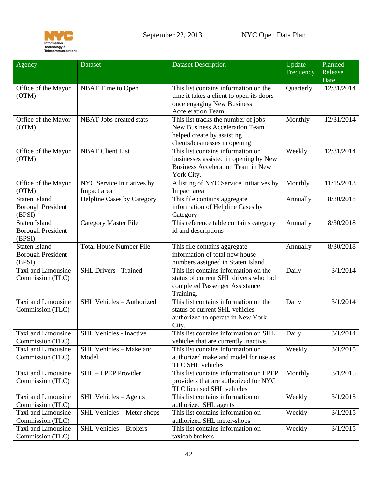

<span id="page-41-1"></span><span id="page-41-0"></span>

| Agency                                                     | Dataset                                   | <b>Dataset Description</b>                                                                                                                  | Update<br>Frequency | Planned<br>Release<br>Date |
|------------------------------------------------------------|-------------------------------------------|---------------------------------------------------------------------------------------------------------------------------------------------|---------------------|----------------------------|
| Office of the Mayor<br>(OTM)                               | NBAT Time to Open                         | This list contains information on the<br>time it takes a client to open its doors<br>once engaging New Business<br><b>Acceleration Team</b> | Quarterly           | 12/31/2014                 |
| Office of the Mayor<br>(OTM)                               | NBAT Jobs created stats                   | This list tracks the number of jobs<br><b>New Business Acceleration Team</b><br>helped create by assisting<br>clients/businesses in opening | Monthly             | 12/31/2014                 |
| Office of the Mayor<br>(OTM)                               | <b>NBAT Client List</b>                   | This list contains information on<br>businesses assisted in opening by New<br><b>Business Acceleration Team in New</b><br>York City.        | Weekly              | 12/31/2014                 |
| Office of the Mayor<br>(OTM)                               | NYC Service Initiatives by<br>Impact area | A listing of NYC Service Initiatives by<br>Impact area                                                                                      | Monthly             | 11/15/2013                 |
| <b>Staten Island</b><br><b>Borough President</b><br>(BPSI) | <b>Helpline Cases by Category</b>         | This file contains aggregate<br>information of Helpline Cases by<br>Category                                                                | Annually            | 8/30/2018                  |
| <b>Staten Island</b><br><b>Borough President</b><br>(BPSI) | <b>Category Master File</b>               | This reference table contains category<br>id and descriptions                                                                               | Annually            | 8/30/2018                  |
| <b>Staten Island</b><br><b>Borough President</b><br>(BPSI) | <b>Total House Number File</b>            | This file contains aggregate<br>information of total new house<br>numbers assigned in Staten Island                                         | Annually            | 8/30/2018                  |
| Taxi and Limousine<br>Commission (TLC)                     | <b>SHL Drivers - Trained</b>              | This list contains information on the<br>status of current SHL drivers who had<br>completed Passenger Assistance<br>Training.               | Daily               | 3/1/2014                   |
| Taxi and Limousine<br>Commission (TLC)                     | SHL Vehicles - Authorized                 | This list contains information on the<br>status of current SHL vehicles<br>authorized to operate in New York<br>City.                       | Daily               | 3/1/2014                   |
| Taxi and Limousine<br>Commission (TLC)                     | <b>SHL Vehicles - Inactive</b>            | This list contains information on SHL<br>vehicles that are currently inactive.                                                              | Daily               | 3/1/2014                   |
| Taxi and Limousine<br>Commission (TLC)                     | SHL Vehicles - Make and<br>Model          | This list contains information on<br>authorized make and model for use as<br>TLC SHL vehicles                                               | Weekly              | 3/1/2015                   |
| Taxi and Limousine<br>Commission (TLC)                     | SHL - LPEP Provider                       | This list contains information on LPEP<br>providers that are authorized for NYC<br>TLC licensed SHL vehicles                                | Monthly             | 3/1/2015                   |
| Taxi and Limousine<br>Commission (TLC)                     | <b>SHL Vehicles - Agents</b>              | This list contains information on<br>authorized SHL agents                                                                                  | Weekly              | 3/1/2015                   |
| Taxi and Limousine<br>Commission (TLC)                     | SHL Vehicles - Meter-shops                | This list contains information on<br>authorized SHL meter-shops                                                                             | Weekly              | 3/1/2015                   |
| Taxi and Limousine<br>Commission (TLC)                     | <b>SHL Vehicles - Brokers</b>             | This list contains information on<br>taxicab brokers                                                                                        | Weekly              | 3/1/2015                   |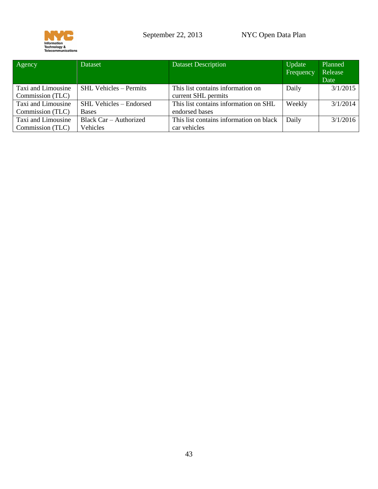

| Agency             | Dataset                        | <b>Dataset Description</b>              | Update<br>Frequency | Planned<br>Release<br>Date |
|--------------------|--------------------------------|-----------------------------------------|---------------------|----------------------------|
| Taxi and Limousine | <b>SHL Vehicles - Permits</b>  | This list contains information on       | Daily               | 3/1/2015                   |
| Commission (TLC)   |                                | current SHL permits                     |                     |                            |
| Taxi and Limousine | <b>SHL Vehicles - Endorsed</b> | This list contains information on SHL   | Weekly              | 3/1/2014                   |
| Commission (TLC)   | <b>Bases</b>                   | endorsed bases                          |                     |                            |
| Taxi and Limousine | Black Car – Authorized         | This list contains information on black | Daily               | 3/1/2016                   |
| Commission (TLC)   | Vehicles                       | car vehicles                            |                     |                            |